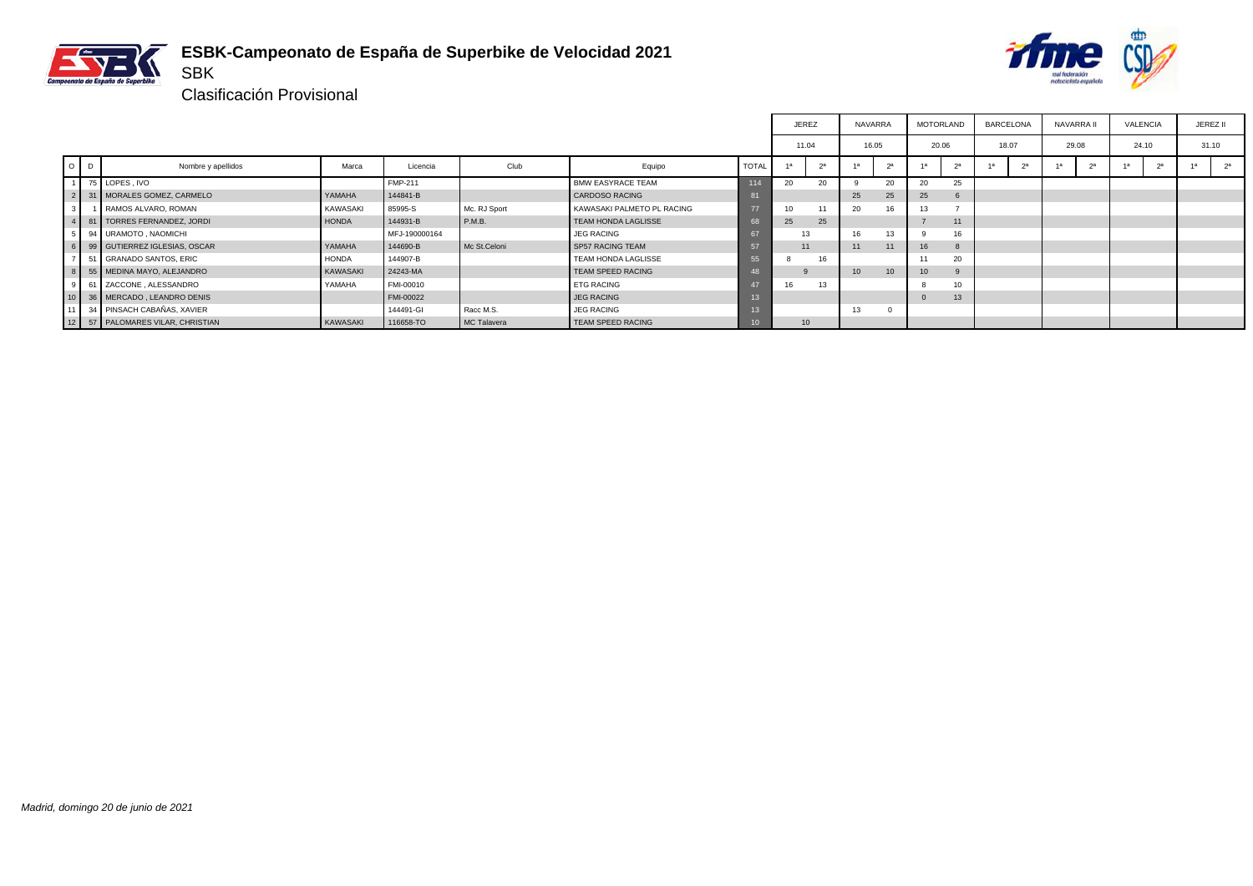



┑ ٦

Clasificación Provisional

SBK

|                |   |                                  |              |                |              |                            |                 | JEREZ          |                  | <b>NAVARRA</b>  |                | MOTORLAND       |                | BARCELONA | NAVARRA II |    | <b>VALENCIA</b> |                |       | JEREZ II       |
|----------------|---|----------------------------------|--------------|----------------|--------------|----------------------------|-----------------|----------------|------------------|-----------------|----------------|-----------------|----------------|-----------|------------|----|-----------------|----------------|-------|----------------|
|                |   |                                  |              |                |              |                            |                 | 11.04          |                  | 16.05           |                | 20.06           |                | 18.07     | 29.08      |    | 24.10           |                | 31.10 |                |
| $\circ$        | D | Nombre y apellidos               | Marca        | Licencia       | Club         | Equipo                     | <b>TOTAL</b>    | 1 <sup>a</sup> | 2 <sup>a</sup>   | 1a              | 2 <sup>a</sup> |                 | 2 <sup>a</sup> | 2a        |            | 2a |                 | 2 <sup>a</sup> | 1a    | 2 <sup>a</sup> |
|                |   | 75 LOPES, IVO                    |              | <b>FMP-211</b> |              | <b>BMW EASYRACE TEAM</b>   | 114             | 20             | 20               |                 | 20             | 20              | 25             |           |            |    |                 |                |       |                |
|                |   | 2 31 MORALES GOMEZ, CARMELO      | YAMAHA       | 144841-B       |              | <b>CARDOSO RACING</b>      | 81              |                |                  | 25              | 25             | 25              | 6              |           |            |    |                 |                |       |                |
| 3 <sup>1</sup> |   | RAMOS ALVARO, ROMAN              | KAWASAKI     | 85995-S        | Mc. RJ Sport | KAWASAKI PALMETO PL RACING | 77              | 10             |                  | 20              |                | 13              |                |           |            |    |                 |                |       |                |
|                |   | 4 81 TORRES FERNANDEZ, JORDI     | <b>HONDA</b> | 144931-B       | P.M.B.       | TEAM HONDA LAGLISSE        |                 | 25             | 25               |                 |                |                 | 11             |           |            |    |                 |                |       |                |
|                |   | 5 94 URAMOTO, NAOMICHI           |              | MFJ-190000164  |              | <b>JEG RACING</b>          | 67              |                | 13               | 16              | 13             |                 | 16             |           |            |    |                 |                |       |                |
|                |   | 6 99 GUTIERREZ IGLESIAS, OSCAR   | YAMAHA       | 144690-B       | Mc St.Celoni | <b>SP57 RACING TEAM</b>    | 57              | 11             |                  | 11              | 11             | 16              |                |           |            |    |                 |                |       |                |
| $\overline{z}$ |   | 51 GRANADO SANTOS, ERIC          | <b>HONDA</b> | 144907-B       |              | TEAM HONDA LAGLISSE        | 55              |                |                  |                 |                |                 | 20             |           |            |    |                 |                |       |                |
|                |   | 8 55 MEDINA MAYO, ALEJANDRO      | KAWASAKI     | 24243-MA       |              | TEAM SPEED RACING          |                 |                |                  | 10 <sup>°</sup> | 10             | 10 <sup>°</sup> |                |           |            |    |                 |                |       |                |
|                |   | 9 61 ZACCONE, ALESSANDRO         | YAMAHA       | FMI-00010      |              | <b>ETG RACING</b>          | $\overline{47}$ | 16             | 13               |                 |                |                 | 10             |           |            |    |                 |                |       |                |
|                |   | 10 36 MERCADO, LEANDRO DENIS     |              | FMI-00022      |              | <b>JEG RACING</b>          | 13              |                |                  |                 |                |                 | 13             |           |            |    |                 |                |       |                |
| 11             |   | 34 PINSACH CABAÑAS, XAVIER       |              | 144491-GI      | Racc M.S.    | <b>JEG RACING</b>          | 13              |                |                  | 13              |                |                 |                |           |            |    |                 |                |       |                |
|                |   | 12 57 PALOMARES VILAR, CHRISTIAN | KAWASAKI     | 116658-TO      | MC Talavera  | TEAM SPEED RACING          | 10              |                | 10 <sup>10</sup> |                 |                |                 |                |           |            |    |                 |                |       |                |

F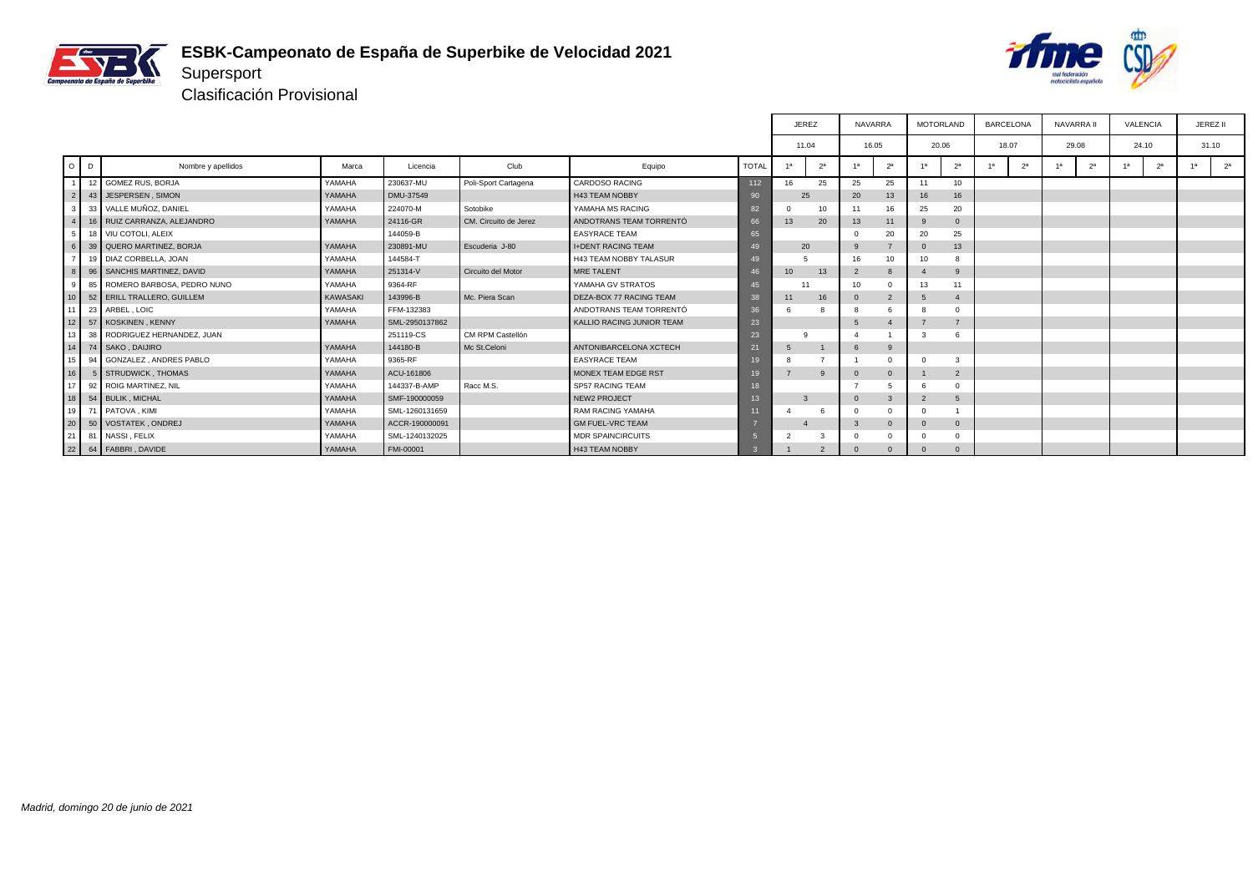



|                 |         |                                 |               |                |                       |                                  |              | <b>JEREZ</b>     |                | <b>NAVARRA</b> |                | <b>MOTORLAND</b> |                  | <b>BARCELONA</b> |                | NAVARRA II |                | <b>VALENCIA</b>      |    | JEREZ II       |
|-----------------|---------|---------------------------------|---------------|----------------|-----------------------|----------------------------------|--------------|------------------|----------------|----------------|----------------|------------------|------------------|------------------|----------------|------------|----------------|----------------------|----|----------------|
|                 |         |                                 |               |                |                       |                                  |              | 11.04            |                | 16.05          |                | 20.06            |                  |                  | 18.07          | 29.08      |                | 24.10                |    | 31.10          |
|                 | $O$ $D$ | Nombre y apellidos              | Marca         | Licencia       | Club                  | Equipo                           | <b>TOTAL</b> | 1a               | 2 <sup>a</sup> | 1a             | 2 <sup>a</sup> | 1a               | 2 <sup>a</sup>   | 1a               | 2 <sup>a</sup> | 1a         | 2 <sup>a</sup> | 2 <sup>a</sup><br>1a | 1a | 2 <sup>a</sup> |
|                 |         | 12 GOMEZ RUS, BORJA             | YAMAHA        | 230637-MU      | Poli-Sport Cartagena  | <b>CARDOSO RACING</b>            | 112          | 16               | 25             | 25             | 25             | 11               | 10 <sup>10</sup> |                  |                |            |                |                      |    |                |
| $\overline{2}$  |         | 43 JESPERSEN, SIMON             | YAMAHA        | DMU-37549      |                       | <b>H43 TEAM NOBBY</b>            | 90           | 25               |                | 20             | 13             | 16               | 16               |                  |                |            |                |                      |    |                |
| 3               |         | 33 VALLE MUÑOZ, DANIEL          | YAMAHA        | 224070-M       | Sotobike              | YAMAHA MS RACING                 | 82           | $\Omega$         | 10             | 11             | 16             | 25               | 20               |                  |                |            |                |                      |    |                |
|                 |         | 16 RUIZ CARRANZA, ALEJANDRO     | <b>YAMAHA</b> | 24116-GR       | CM. Circuito de Jerez | ANDOTRANS TEAM TORRENTÓ          | 66           | 13               | 20             | 13             | 11             |                  | $\Omega$         |                  |                |            |                |                      |    |                |
|                 |         | 18 VIU COTOLI, ALEIX            |               | 144059-B       |                       | <b>EASYRACE TEAM</b>             | 65           |                  |                | $\Omega$       | 20             | 20               | 25               |                  |                |            |                |                      |    |                |
| 6 <sup>1</sup>  |         | 39 QUERO MARTINEZ, BORJA        | YAMAHA        | 230891-MU      | Escuderia J-80        | <b>I+DENT RACING TEAM</b>        | -49          | 20               |                | 9              |                |                  | 13               |                  |                |            |                |                      |    |                |
|                 |         | 19 DIAZ CORBELLA, JOAN          | YAMAHA        | 144584-T       |                       | <b>H43 TEAM NOBBY TALASUR</b>    | 49           |                  |                | 16             | 10             | 10               |                  |                  |                |            |                |                      |    |                |
|                 |         | 96 SANCHIS MARTINEZ, DAVID      | YAMAHA        | 251314-V       | Circuito del Motor    | MRE TALENT                       |              | 10 <sup>10</sup> | 13             | $\overline{2}$ | 8              |                  | 9                |                  |                |            |                |                      |    |                |
| $\Omega$        |         | 85   ROMERO BARBOSA, PEDRO NUNO | YAMAHA        | 9364-RF        |                       | YAMAHA GV STRATOS                |              | 11               |                | 10             | $\Omega$       | 13               |                  |                  |                |            |                |                      |    |                |
| 10 <sup>1</sup> |         | 52 ERILL TRALLERO, GUILLEM      | KAWASAKI      | 143996-B       | Mc. Piera Scan        | DEZA-BOX 77 RACING TEAM          | 38           | 11               | 16             | $\Omega$       | $\overline{2}$ |                  | $\overline{4}$   |                  |                |            |                |                      |    |                |
|                 |         | 23 ARBEL, LOIC                  | YAMAHA        | FFM-132383     |                       | ANDOTRANS TEAM TORRENTÓ          | 36           | 6                |                |                |                |                  |                  |                  |                |            |                |                      |    |                |
|                 |         | 12 57 KOSKINEN, KENNY           | <b>YAMAHA</b> | SML-2950137862 |                       | <b>KALLIO RACING JUNIOR TEAM</b> | 23           |                  |                | 5              |                |                  |                  |                  |                |            |                |                      |    |                |
| 13 <sup>1</sup> |         | 38 RODRIGUEZ HERNANDEZ, JUAN    |               | 251119-CS      | CM RPM Castellón      |                                  | 23           |                  |                |                |                |                  |                  |                  |                |            |                |                      |    |                |
|                 |         | 14 74 SAKO, DAIJIRO             | YAMAHA        | 144180-B       | Mc St.Celoni          | ANTONIBARCELONA XCTECH           | 21           | 5                |                | -6             | 9              |                  |                  |                  |                |            |                |                      |    |                |
|                 |         | 15 94 GONZALEZ, ANDRES PABLO    | YAMAHA        | 9365-RF        |                       | <b>EASYRACE TEAM</b>             | 19           | 8                |                |                | $\Omega$       |                  | 3                |                  |                |            |                |                      |    |                |
| 16 <sup>1</sup> |         | 5 STRUDWICK THOMAS              | YAMAHA        | ACU-161806     |                       | MONEX TEAM EDGE RST              | 19           |                  | 9              | $\Omega$       | $\overline{0}$ |                  | $\overline{2}$   |                  |                |            |                |                      |    |                |
| 17              |         | 92 ROIG MARTINEZ, NIL           | YAMAHA        | 144337-B-AMP   | Racc M.S.             | SP57 RACING TEAM                 |              |                  |                |                |                |                  |                  |                  |                |            |                |                      |    |                |
| l 18 L          |         | 54 BULIK, MICHAL                | <b>YAMAHA</b> | SMF-190000059  |                       | NEW2 PROJECT                     | 13           |                  |                | $\Omega$       |                | $\mathcal{L}$    | 5                |                  |                |            |                |                      |    |                |
|                 |         | 19 71 PATOVA, KIMI              | YAMAHA        | SML-1260131659 |                       | RAM RACING YAMAHA                |              | $\epsilon$       |                | $\Omega$       | $\Omega$       |                  |                  |                  |                |            |                |                      |    |                |
| $\frac{1}{20}$  |         | 50 VOSTATEK , ONDREJ            | YAMAHA        | ACCR-190000091 |                       | <b>GM FUEL-VRC TEAM</b>          |              |                  |                | -3             | $\Omega$       |                  | $\Omega$         |                  |                |            |                |                      |    |                |
| 21              |         | 81 NASSI, FELIX                 | YAMAHA        | SML-1240132025 |                       | <b>MDR SPAINCIRCUITS</b>         |              |                  | 3              | $\mathbf 0$    |                |                  |                  |                  |                |            |                |                      |    |                |
|                 |         | 22 64 FABBRI, DAVIDE            | <b>YAMAHA</b> | FMI-00001      |                       | H43 TEAM NOBBY                   |              |                  | $\overline{2}$ | $\Omega$       | $\Omega$       |                  | $\Omega$         |                  |                |            |                |                      |    |                |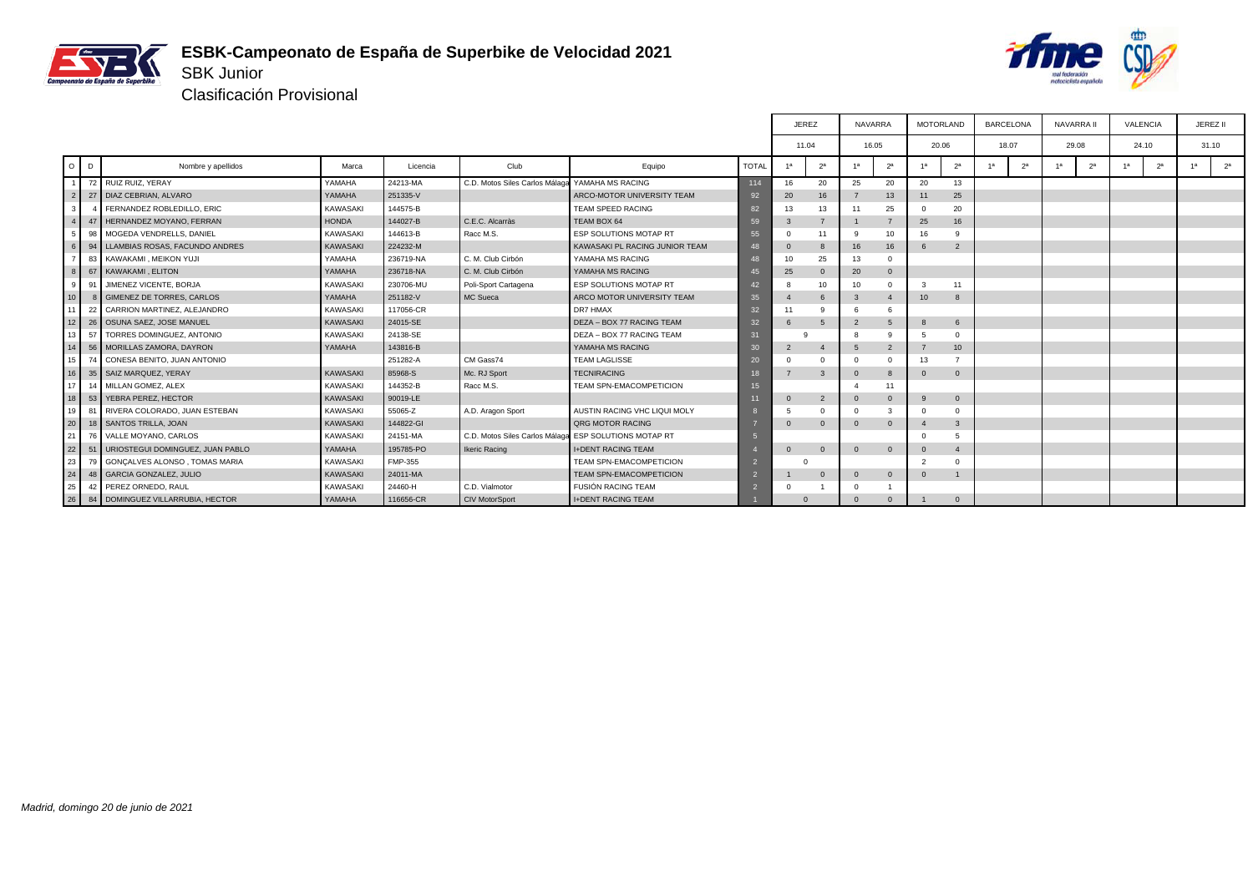

#### **ESBK-Campeonato de España de Superbike de Velocidad 2021** SBK Junior



Clasificación Provisional

|                 |              |                                       |                 |           |                                |                                |              | <b>JEREZ</b>    |                | NAVARRA        |                | <b>MOTORLAND</b> |                  |                | <b>BARCELONA</b> | <b>NAVARRA II</b> |                | VALENCIA             |    | JEREZ II       |
|-----------------|--------------|---------------------------------------|-----------------|-----------|--------------------------------|--------------------------------|--------------|-----------------|----------------|----------------|----------------|------------------|------------------|----------------|------------------|-------------------|----------------|----------------------|----|----------------|
|                 |              |                                       |                 |           |                                |                                |              | 11.04           |                | 16.05          |                | 20.06            |                  |                | 18.07            | 29.08             |                | 24.10                |    | 31.10          |
| $O$ $D$         |              | Nombre y apellidos                    | Marca           | Licencia  | Club                           | Equipo                         | <b>TOTAL</b> | 1 <sup>a</sup>  | 2 <sup>a</sup> | 1 <sup>a</sup> | 2 <sup>a</sup> | 1 <sup>a</sup>   | 2 <sup>a</sup>   | 1 <sup>a</sup> | 2 <sup>a</sup>   | 4a                | 2 <sup>a</sup> | 2 <sup>a</sup><br>1a | 1a | 2 <sup>a</sup> |
|                 |              | 72 RUIZ RUIZ, YERAY                   | YAMAHA          | 24213-MA  | C.D. Motos Siles Carlos Málaga | YAMAHA MS RACING               | 114          | 16              | 20             | 25             | 20             | 20               | 13               |                |                  |                   |                |                      |    |                |
| 2               |              | 27 DIAZ CEBRIAN, ALVARO               | YAMAHA          | 251335-V  |                                | ARCO-MOTOR UNIVERSITY TEAM     | 92           | 20              | 16             | $\overline{7}$ | 13             | 11               | 25               |                |                  |                   |                |                      |    |                |
| 3 I             | $\mathbf{A}$ | FERNANDEZ ROBLEDILLO, ERIC            | <b>KAWASAKI</b> | 144575-B  |                                | <b>TEAM SPEED RACING</b>       | 82           | 13              | 13             | 11             | 25             |                  | 20               |                |                  |                   |                |                      |    |                |
|                 | 47           | HERNANDEZ MOYANO, FERRAN              | <b>HONDA</b>    | 144027-B  | C.E.C. Alcarràs                | TEAM BOX 64                    | 59           | 3               | $\overline{7}$ |                |                | 25               | 16               |                |                  |                   |                |                      |    |                |
| 5               | 98           | MOGEDA VENDRELLS, DANIEL              | <b>KAWASAKI</b> | 144613-B  | Racc M.S.                      | ESP SOLUTIONS MOTAP RT         | 55           | $\Omega$        | 11             | 9              | 10             | 16               |                  |                |                  |                   |                |                      |    |                |
|                 |              | 94   LLAMBIAS ROSAS, FACUNDO ANDRES   | KAWASAKI        | 224232-M  |                                | KAWASAKI PL RACING JUNIOR TEAM | 48           | $\mathbf 0$     | 8              | 16             | 16             |                  | $\overline{2}$   |                |                  |                   |                |                      |    |                |
|                 |              | 83 KAWAKAMI, MEIKON YUJI              | YAMAHA          | 236719-NA | C. M. Club Cirbón              | YAMAHA MS RACING               | 48           | 10 <sup>1</sup> | 25             | 13             | $\Omega$       |                  |                  |                |                  |                   |                |                      |    |                |
| $\mathbf{g}$    |              | 67 KAWAKAMI, ELITON                   | YAMAHA          | 236718-NA | C. M. Club Cirbón              | YAMAHA MS RACING               | 45           | 25              | $\Omega$       | 20             | $\overline{0}$ |                  |                  |                |                  |                   |                |                      |    |                |
| 9               | 91           | JIMENEZ VICENTE, BORJA                | <b>KAWASAKI</b> | 230706-MU | Poli-Sport Cartagena           | ESP SOLUTIONS MOTAP RT         | 42           | 8               | 10             | 10             | $\Omega$       | -3               | 11               |                |                  |                   |                |                      |    |                |
| 10              | -8           | <b>GIMENEZ DE TORRES, CARLOS</b>      | YAMAHA          | 251182-V  | MC Sueca                       | ARCO MOTOR UNIVERSITY TEAM     | 35           | $\overline{4}$  | 6              | 3              | $\overline{4}$ | 10 <sup>1</sup>  | 8                |                |                  |                   |                |                      |    |                |
| 11 <sup>1</sup> |              | 22 CARRION MARTINEZ, ALEJANDRO        | KAWASAKI        | 117056-CR |                                | DR7 HMAX                       | 32           | 11              | 9              | 6              | 6              |                  |                  |                |                  |                   |                |                      |    |                |
| 12              |              | 26   OSUNA SAEZ, JOSE MANUEL          | KAWASAKI        | 24015-SE  |                                | DEZA - BOX 77 RACING TEAM      | 32           |                 | 5              | $\overline{2}$ | 5              |                  | 6                |                |                  |                   |                |                      |    |                |
| 13 <sup>1</sup> | 57           | TORRES DOMINGUEZ, ANTONIO             | KAWASAKI        | 24138-SE  |                                | DEZA - BOX 77 RACING TEAM      | 31           |                 |                | 8              | q              |                  | $\Omega$         |                |                  |                   |                |                      |    |                |
| 14              |              | 56   MORILLAS ZAMORA, DAYRON          | YAMAHA          | 143816-B  |                                | YAMAHA MS RACING               | 30           | $\overline{2}$  | $\overline{4}$ | 5              | $\overline{2}$ | $\overline{7}$   | 10 <sup>10</sup> |                |                  |                   |                |                      |    |                |
| 15 <sup>1</sup> | 74           | CONESA BENITO, JUAN ANTONIO           |                 | 251282-A  | CM Gass74                      | <b>TEAM LAGLISSE</b>           | 20           | $\Omega$        | $\Omega$       | $\Omega$       | $\Omega$       | 13               |                  |                |                  |                   |                |                      |    |                |
| 16              |              | 35   SAIZ MARQUEZ, YERAY              | KAWASAKI        | 85968-S   | Mc. RJ Sport                   | <b>TECNIRACING</b>             | 18           |                 | $\mathbf{3}$   | $\Omega$       | $\mathbf{8}$   | $\Omega$         | $\Omega$         |                |                  |                   |                |                      |    |                |
| 17              |              | 14 MILLAN GOMEZ, ALEX                 | KAWASAKI        | 144352-B  | Racc M.S.                      | <b>TEAM SPN-EMACOMPETICION</b> | 15           |                 |                | $\overline{4}$ | 11             |                  |                  |                |                  |                   |                |                      |    |                |
| 18              |              | 53   YEBRA PEREZ, HECTOR              | KAWASAKI        | 90019-LE  |                                |                                |              | $\Omega$        | $\overline{2}$ | $\Omega$       | $\Omega$       | $\alpha$         | $\mathbf{0}$     |                |                  |                   |                |                      |    |                |
| 19 <sup>1</sup> |              | 81 RIVERA COLORADO, JUAN ESTEBAN      | KAWASAKI        | 55065-Z   | A.D. Aragon Sport              | AUSTIN RACING VHC LIQUI MOLY   |              | 5               | $\Omega$       | $\Omega$       | 3              | $\Omega$         |                  |                |                  |                   |                |                      |    |                |
| 20              |              | 18 SANTOS TRILLA, JOAN                | KAWASAKI        | 144822-GI |                                | <b>QRG MOTOR RACING</b>        |              | $\Omega$        | $\Omega$       | $\mathbf{0}$   | $\Omega$       |                  | 3                |                |                  |                   |                |                      |    |                |
| 21              |              | 76 VALLE MOYANO, CARLOS               | KAWASAKI        | 24151-MA  | C.D. Motos Siles Carlos Málaga | ESP SOLUTIONS MOTAP RT         |              |                 |                |                |                | $\Omega$         | 5                |                |                  |                   |                |                      |    |                |
| 22              |              | 51   URIOSTEGUI DOMINGUEZ, JUAN PABLO | YAMAHA          | 195785-PO | <b>Ikeric Racing</b>           | <b>I+DENT RACING TEAM</b>      |              | $\Omega$        | $\mathbf{0}$   | $\mathbf{0}$   | $\overline{0}$ | $\Omega$         | 4                |                |                  |                   |                |                      |    |                |
| 23              |              | 79 GONCALVES ALONSO, TOMAS MARIA      | KAWASAKI        | FMP-355   |                                | <b>TEAM SPN-EMACOMPETICION</b> |              |                 |                |                |                | $\mathcal{P}$    |                  |                |                  |                   |                |                      |    |                |
| 24              |              | 48 GARCIA GONZALEZ, JULIO             | <b>KAWASAKI</b> | 24011-MA  |                                | <b>TEAM SPN-EMACOMPETICION</b> |              |                 | $\mathbf{0}$   | $\mathbf{0}$   | $\overline{0}$ | $\Omega$         |                  |                |                  |                   |                |                      |    |                |
| 25              | 42           | PEREZ ORNEDO, RAUL                    | <b>KAWASAKI</b> | 24460-H   | C.D. Vialmotor                 | <b>FUSIÓN RACING TEAM</b>      |              | C               |                | $\Omega$       |                |                  |                  |                |                  |                   |                |                      |    |                |
| 26              | 84           | DOMINGUEZ VILLARRUBIA, HECTOR         | YAMAHA          | 116656-CR | <b>CIV MotorSport</b>          | <b>I+DENT RACING TEAM</b>      |              |                 |                | $\Omega$       | $\Omega$       |                  | $\Omega$         |                |                  |                   |                |                      |    |                |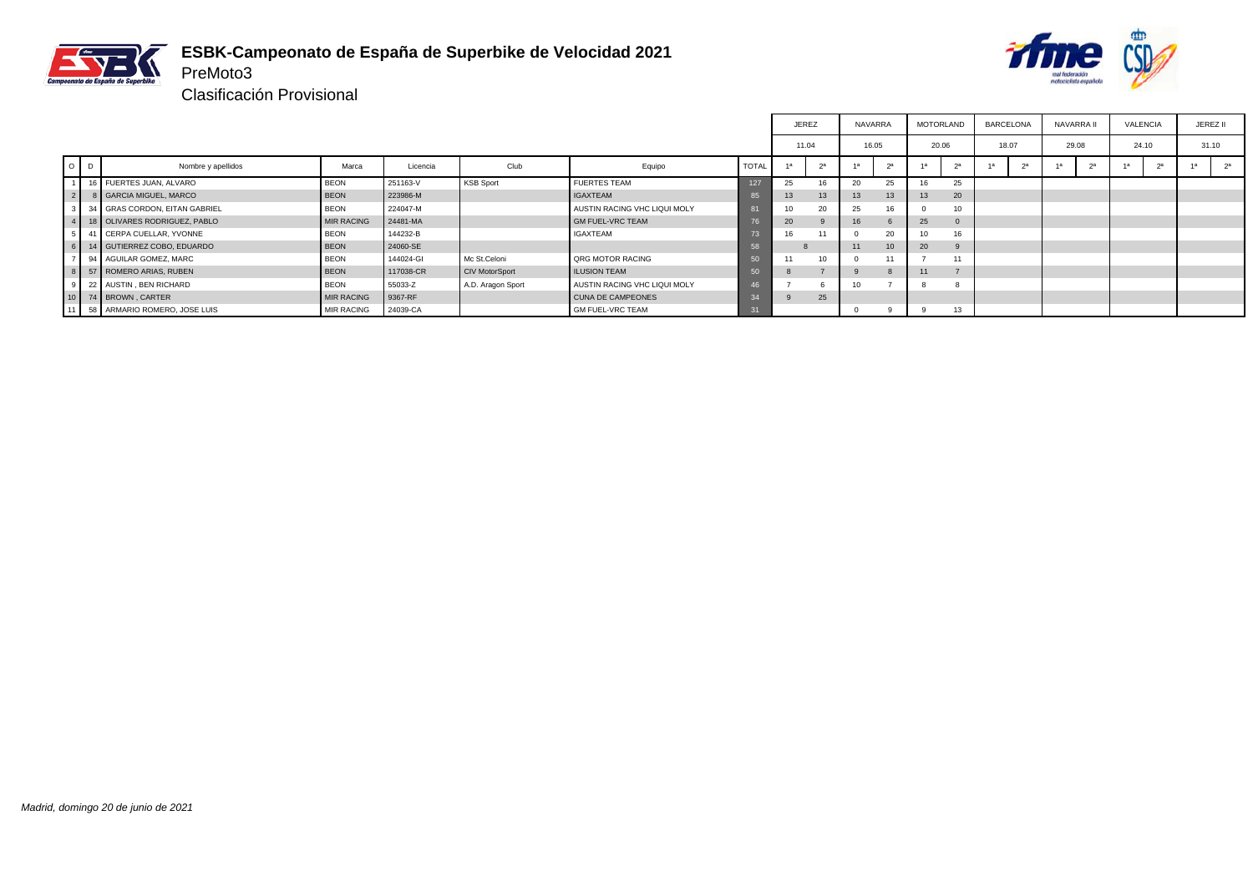

#### **ESBK-Campeonato de España de Superbike de Velocidad 2021** PreMoto3



|                |                                    |                   |           |                       |                              |              | <b>JEREZ</b>   |    | <b>NAVARRA</b> |          | <b>MOTORLAND</b> |              | <b>BARCELONA</b> |            | <b>NAVARRA</b> |            | <b>VALENCIA</b> |    | JEREZ II |                |
|----------------|------------------------------------|-------------------|-----------|-----------------------|------------------------------|--------------|----------------|----|----------------|----------|------------------|--------------|------------------|------------|----------------|------------|-----------------|----|----------|----------------|
|                |                                    |                   |           |                       |                              |              | 11.04          |    | 16.05          |          | 20.06            |              | 18.07            |            | 29.08          |            | 24.10           |    | 31.10    |                |
| $O$ $D$        | Nombre y apellidos                 | Marca             | Licencia  | Club                  | Equipo                       | <b>TOTAL</b> | 1 <sup>a</sup> | าล |                | $\alpha$ | 1a               | $\alpha$     |                  | $\alpha$ a |                | $\alpha$ a |                 | 2a | 1a       | 2 <sup>a</sup> |
|                | 16 FUERTES JUAN, ALVARO            | <b>BEON</b>       | 251163-V  | <b>KSB Sport</b>      | <b>FUERTES TEAM</b>          | 127          | 25             | 16 | 20             | 25       | 16               | 25           |                  |            |                |            |                 |    |          |                |
| $\overline{2}$ | 8 GARCIA MIGUEL, MARCO             | <b>BEON</b>       | 223986-M  |                       | <b>IGAXTEAM</b>              |              | 13             | 13 | 13             | 13       | 13               | 20           |                  |            |                |            |                 |    |          |                |
|                | 3 34 GRAS CORDON, EITAN GABRIEL    | <b>BEON</b>       | 224047-M  |                       | AUSTIN RACING VHC LIQUI MOLY |              | 10             | 20 | 25             |          |                  |              |                  |            |                |            |                 |    |          |                |
|                | 4   18   OLIVARES RODRIGUEZ, PABLO | <b>MIR RACING</b> | 24481-MA  |                       | <b>GM FUEL-VRC TEAM</b>      |              | 20             |    | 16             |          | 25               | $\mathbf{0}$ |                  |            |                |            |                 |    |          |                |
|                | 5 41 CERPA CUELLAR, YVONNE         | <b>BEON</b>       | 144232-B  |                       | <b>IGAXTEAM</b>              |              |                | 11 |                | 20       | 10               |              |                  |            |                |            |                 |    |          |                |
|                | 6 14 GUTIERREZ COBO, EDUARDO       | <b>BEON</b>       | 24060-SE  |                       |                              |              |                |    | 11             | 10       | 20               |              |                  |            |                |            |                 |    |          |                |
| $\overline{ }$ | 94 AGUILAR GOMEZ, MARC             | <b>BEON</b>       | 144024-GI | Mc St.Celoni          | <b>QRG MOTOR RACING</b>      |              |                | 10 |                |          |                  |              |                  |            |                |            |                 |    |          |                |
|                | 8 57 ROMERO ARIAS, RUBEN           | <b>BEON</b>       | 117038-CR | <b>CIV MotorSport</b> | <b>ILUSION TEAM</b>          |              |                |    |                |          |                  |              |                  |            |                |            |                 |    |          |                |
| 9 I            | 22 AUSTIN, BEN RICHARD             | <b>BEON</b>       | 55033-Z   | A.D. Aragon Sport     | AUSTIN RACING VHC LIQUI MOLY |              |                |    | 10             |          |                  |              |                  |            |                |            |                 |    |          |                |
|                | 10 74 BROWN, CARTER                | <b>MIR RACING</b> | 9367-RF   |                       | <b>CUNA DE CAMPEONES</b>     |              |                | 25 |                |          |                  |              |                  |            |                |            |                 |    |          |                |
|                | 11 58 ARMARIO ROMERO, JOSE LUIS    | <b>MIR RACING</b> | 24039-CA  |                       | <b>GM FUEL-VRC TEAM</b>      |              |                |    |                | -9       | - 9              | 13           |                  |            |                |            |                 |    |          |                |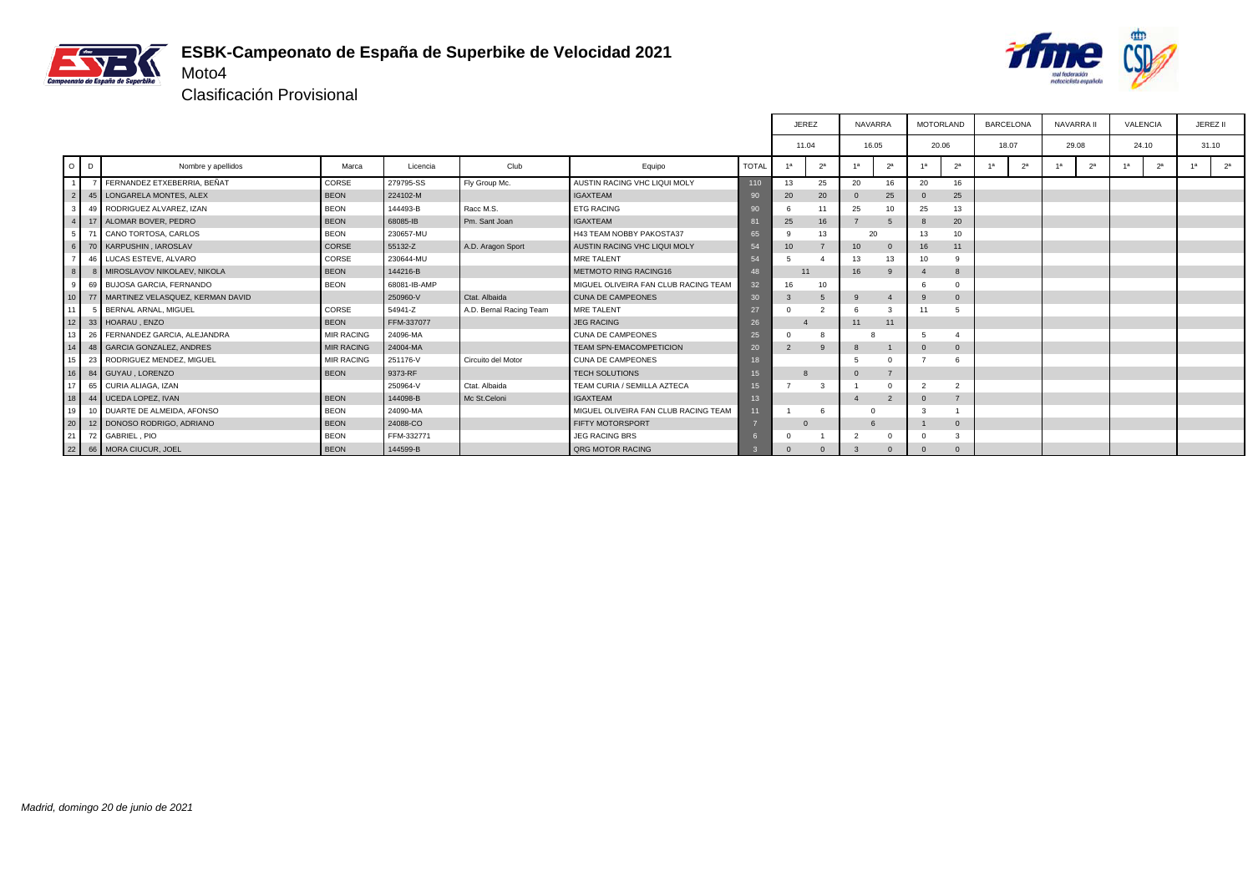



Clasificación Provisional

|                 |         |                                     |                   |              |                         |                                      |              | <b>JEREZ</b>   |                | <b>NAVARRA</b> |                | <b>MOTORLAND</b> |                 | <b>BARCELONA</b> |                | <b>NAVARRA II</b> |                | VALENCIA |                | JEREZ II |                |
|-----------------|---------|-------------------------------------|-------------------|--------------|-------------------------|--------------------------------------|--------------|----------------|----------------|----------------|----------------|------------------|-----------------|------------------|----------------|-------------------|----------------|----------|----------------|----------|----------------|
|                 |         |                                     |                   |              |                         |                                      |              | 11.04          |                | 16.05          |                | 20.06            |                 | 18.07            |                | 29.08             |                | 24.10    |                | 31.10    |                |
|                 | $O$ $D$ | Nombre y apellidos                  | Marca             | Licencia     | Club                    | Equipo                               | <b>TOTAL</b> | 1a             | 2 <sup>a</sup> | 1a             | 2 <sup>a</sup> | 1a               | 2 <sup>a</sup>  | 1a               | 2 <sup>a</sup> | 1a                | 2 <sup>a</sup> | 1а       | 2 <sup>a</sup> | 1a       | 2 <sup>a</sup> |
|                 |         | 7 FERNANDEZ ETXEBERRIA, BEÑAT       | CORSE             | 279795-SS    | Fly Group Mc.           | AUSTIN RACING VHC LIQUI MOLY         | 110          | 13             | 25             | 20             | 16             | 20               | 16              |                  |                |                   |                |          |                |          |                |
| $\overline{2}$  |         | 45   LONGARELA MONTES, ALEX         | <b>BEON</b>       | 224102-M     |                         | <b>IGAXTEAM</b>                      | 90           | 20             | 20             | $\mathbf{0}$   | 25             |                  | 25              |                  |                |                   |                |          |                |          |                |
|                 |         | 49 RODRIGUEZ ALVAREZ, IZAN          | <b>BEON</b>       | 144493-B     | Racc M.S.               | <b>ETG RACING</b>                    | 90           | 6              | 11             | 25             | 10             | 25               | 13              |                  |                |                   |                |          |                |          |                |
|                 |         | 17 ALOMAR BOVER, PEDRO              | <b>BEON</b>       | 68085-IB     | Pm. Sant Joan           | <b>IGAXTEAM</b>                      |              | 25             | 16             |                | 5              |                  | 20              |                  |                |                   |                |          |                |          |                |
|                 |         | 71 CANO TORTOSA, CARLOS             | <b>BEON</b>       | 230657-MU    |                         | H43 TEAM NOBBY PAKOSTA37             | 65           | a              | 13             | 20             |                | 13               | 10 <sup>1</sup> |                  |                |                   |                |          |                |          |                |
|                 |         | 70   KARPUSHIN, IAROSLAV            | CORSE             | 55132-Z      | A.D. Aragon Sport       | AUSTIN RACING VHC LIQUI MOLY         | 54           | 10             |                | 10             | $\Omega$       | 16               | 11              |                  |                |                   |                |          |                |          |                |
|                 |         | 46 LUCAS ESTEVE, ALVARO             | CORSE             | 230644-MU    |                         | MRE TALENT                           | 54           | 5              |                | 13             | 13             | 10               | 9               |                  |                |                   |                |          |                |          |                |
|                 |         | 8 MIROSLAVOV NIKOLAEV. NIKOLA       | <b>BEON</b>       | 144216-B     |                         | <b>METMOTO RING RACING16</b>         | 48           | 11             |                | 16             | -9             |                  | 8               |                  |                |                   |                |          |                |          |                |
| -9              |         | 69 BUJOSA GARCIA, FERNANDO          | <b>BEON</b>       | 68081-IB-AMP |                         | MIGUEL OLIVEIRA FAN CLUB RACING TEAM | 32           | 16             | 10             |                |                |                  |                 |                  |                |                   |                |          |                |          |                |
| 10 <sup>1</sup> |         | 77 MARTINEZ VELASQUEZ, KERMAN DAVID |                   | 250960-V     | Ctat, Albaida           | CUNA DE CAMPEONES                    | 30           | 3              | 5              | -9             |                |                  | $\Omega$        |                  |                |                   |                |          |                |          |                |
| 11              |         | 5 BERNAL ARNAL, MIGUEL              | CORSE             | 54941-Z      | A.D. Bernal Racing Team | MRE TALENT                           | 27           | $\Omega$       | $\mathfrak{p}$ |                |                | 11               |                 |                  |                |                   |                |          |                |          |                |
| 12              |         | 33 HOARAU, ENZO                     | <b>BEON</b>       | FFM-337077   |                         | <b>JEG RACING</b>                    | 26           |                |                | 11             | 11             |                  |                 |                  |                |                   |                |          |                |          |                |
| 13 <sup>1</sup> |         | 26 FERNANDEZ GARCIA, ALEJANDRA      | <b>MIR RACING</b> | 24096-MA     |                         | <b>CUNA DE CAMPEONES</b>             | 25           | $\Omega$       | 8              |                |                |                  |                 |                  |                |                   |                |          |                |          |                |
| 14              |         | 48 GARCIA GONZALEZ, ANDRES          | <b>MIR RACING</b> | 24004-MA     |                         | <b>TEAM SPN-EMACOMPETICION</b>       | 20           | $\overline{2}$ | 9              | 8              |                |                  | $\mathbf{0}$    |                  |                |                   |                |          |                |          |                |
| 15 <sup>1</sup> |         | 23 RODRIGUEZ MENDEZ, MIGUEL         | <b>MIR RACING</b> | 251176-V     | Circuito del Motor      | CUNA DE CAMPEONES                    | 18           |                |                |                | $\Omega$       |                  |                 |                  |                |                   |                |          |                |          |                |
| 16 I            |         | 84 GUYAU , LORENZO                  | <b>BEON</b>       | 9373-RF      |                         | <b>TECH SOLUTIONS</b>                | 15           |                |                | $\Omega$       |                |                  |                 |                  |                |                   |                |          |                |          |                |
| 17              |         | 65 CURIA ALIAGA, IZAN               |                   | 250964-V     | Ctat, Albaida           | TEAM CURIA / SEMILLA AZTECA          | 15           |                | 3              |                | $\Omega$       | $\overline{2}$   | $\overline{2}$  |                  |                |                   |                |          |                |          |                |
| 18 <sup>1</sup> |         | 44 UCEDA LOPEZ, IVAN                | <b>BEON</b>       | 144098-B     | Mc St.Celoni            | <b>IGAXTEAM</b>                      | 13           |                |                |                | $\overline{2}$ |                  | $\overline{7}$  |                  |                |                   |                |          |                |          |                |
| 19              |         | 10 DUARTE DE ALMEIDA, AFONSO        | <b>BEON</b>       | 24090-MA     |                         | MIGUEL OLIVEIRA FAN CLUB RACING TEAM | 11           |                | 6              | $\Omega$       |                |                  |                 |                  |                |                   |                |          |                |          |                |
| $\vert$ 20      |         | 12 DONOSO RODRIGO, ADRIANO          | <b>BEON</b>       | 24088-CO     |                         | <b>FIFTY MOTORSPORT</b>              |              |                |                | 6              |                |                  | $\mathbf{0}$    |                  |                |                   |                |          |                |          |                |
| 21              |         | 72 GABRIEL, PIO                     | <b>BEON</b>       | FFM-332771   |                         | <b>JEG RACING BRS</b>                |              | $\Omega$       |                |                |                |                  |                 |                  |                |                   |                |          |                |          |                |
|                 |         | 22 66 MORA CIUCUR, JOEL             | <b>BEON</b>       | 144599-B     |                         | <b>QRG MOTOR RACING</b>              |              | $\Omega$       | $\Omega$       |                | $\Omega$       |                  | $\Omega$        |                  |                |                   |                |          |                |          |                |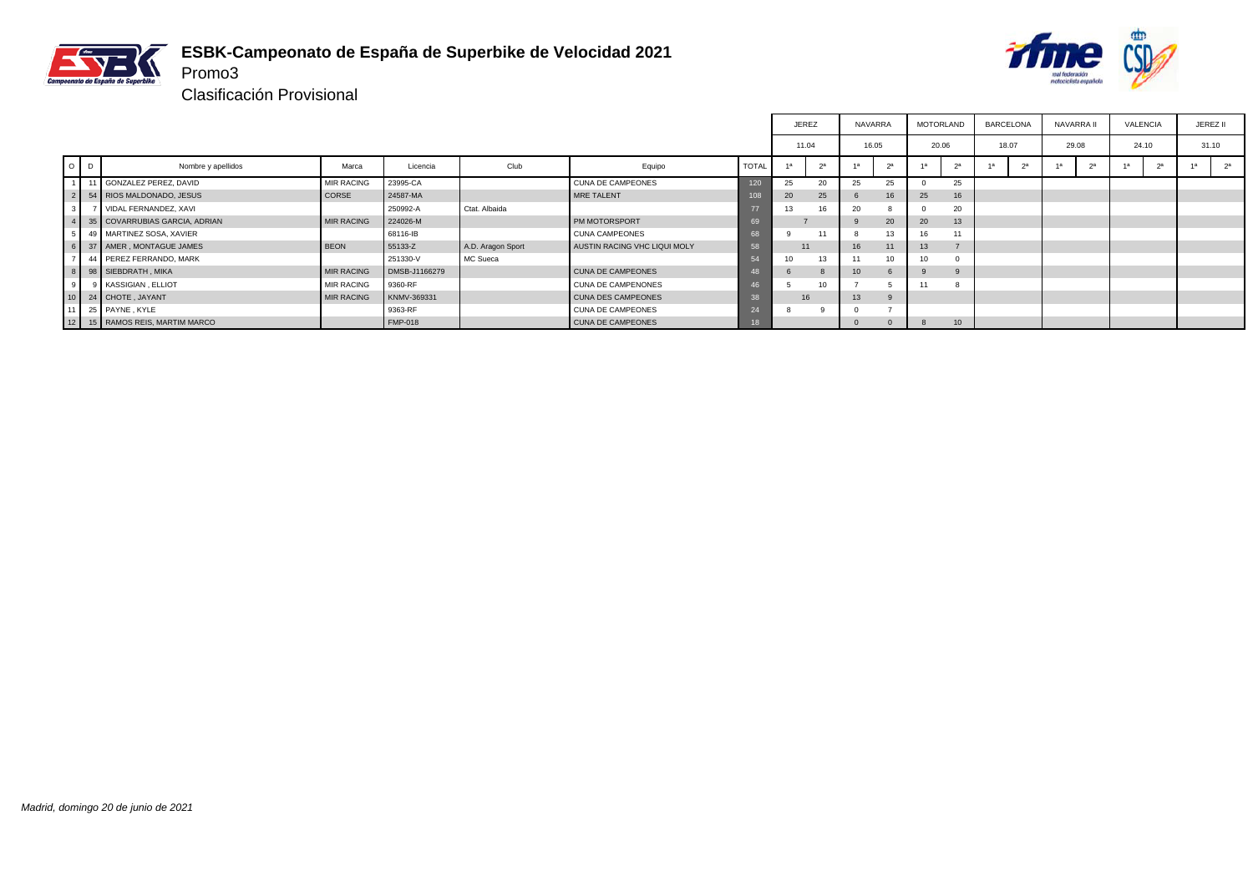

#### **ESBK-Campeonato de España de Superbike de Velocidad 2021** Promo3



|                |   |                                 |                   |                |                   |                              |              | JEREZ |    | NAVARRA |          |       | MOTORLAND        | BARCELONA |                | NAVARRA I | VALENCIA | JEREZ II |                |
|----------------|---|---------------------------------|-------------------|----------------|-------------------|------------------------------|--------------|-------|----|---------|----------|-------|------------------|-----------|----------------|-----------|----------|----------|----------------|
|                |   |                                 |                   |                |                   |                              |              | 11.04 |    | 16.05   |          | 20.06 |                  | 18.07     |                | 29.08     | 24.10    |          | 31.10          |
| $\circ$        | D | Nombre y apellidos              | Marca             | Licencia       | Club              | Equipo                       | <b>TOTAL</b> |       | 25 |         | $\alpha$ | 1a    | $\alpha$         |           | 2 <sup>a</sup> |           |          |          | 2 <sup>a</sup> |
| $\overline{1}$ |   | 11 GONZALEZ PEREZ, DAVID        | <b>MIR RACING</b> | 23995-CA       |                   | <b>CUNA DE CAMPEONES</b>     | 120          | 25    | 20 | 25      | 25       |       | 25               |           |                |           |          |          |                |
|                |   | 2 54 RIOS MALDONADO, JESUS      | CORSE             | 24587-MA       |                   | MRE TALENT                   | 105          | 20    | 25 |         |          | 25    | 16               |           |                |           |          |          |                |
| 3 <sup>1</sup> |   | VIDAL FERNANDEZ, XAVI           |                   | 250992-A       | Ctat. Albaida     |                              | -7           | 13    | 16 | 20      |          |       | 20               |           |                |           |          |          |                |
|                |   | 4 35 COVARRUBIAS GARCIA, ADRIAN | <b>MIR RACING</b> | 224026-M       |                   | PM MOTORSPORT                |              |       |    |         | 20       | 20    | 13               |           |                |           |          |          |                |
| 5 <sub>1</sub> |   | 49 MARTINEZ SOSA, XAVIER        |                   | 68116-IB       |                   | <b>CUNA CAMPEONES</b>        |              |       | 11 |         |          | 16.   | 11               |           |                |           |          |          |                |
|                |   | 6 37 AMER, MONTAGUE JAMES       | <b>BEON</b>       | 55133-Z        | A.D. Aragon Sport | AUSTIN RACING VHC LIQUI MOLY | 58           | 11    |    | 16      | 11       | 13    |                  |           |                |           |          |          |                |
| $\overline{ }$ |   | 44 PEREZ FERRANDO, MARK         |                   | 251330-V       | MC Sueca          |                              |              | 10    | 13 |         |          | 10    |                  |           |                |           |          |          |                |
|                |   | 8 98 SIEBDRATH, MIKA            | <b>MIR RACING</b> | DMSB-J1166279  |                   | CUNA DE CAMPEONES            |              |       |    | 10      |          |       |                  |           |                |           |          |          |                |
| 9              |   | 9 KASSIGIAN, ELLIOT             | <b>MIR RACING</b> | 9360-RF        |                   | CUNA DE CAMPENONES           |              |       | 10 |         |          |       |                  |           |                |           |          |          |                |
|                |   | 10 24 CHOTE, JAYANT             | <b>MIR RACING</b> | KNMV-369331    |                   | <b>CUNA DES CAMPEONES</b>    |              | 16    |    | 13      |          |       |                  |           |                |           |          |          |                |
| 11             |   | 25 PAYNE, KYLE                  |                   | 9363-RF        |                   | <b>CUNA DE CAMPEONES</b>     | 24           |       |    |         |          |       |                  |           |                |           |          |          |                |
|                |   | 12 15 RAMOS REIS, MARTIM MARCO  |                   | <b>FMP-018</b> |                   | <b>CUNA DE CAMPEONES</b>     |              |       |    |         |          | 8     | 10 <sup>10</sup> |           |                |           |          |          |                |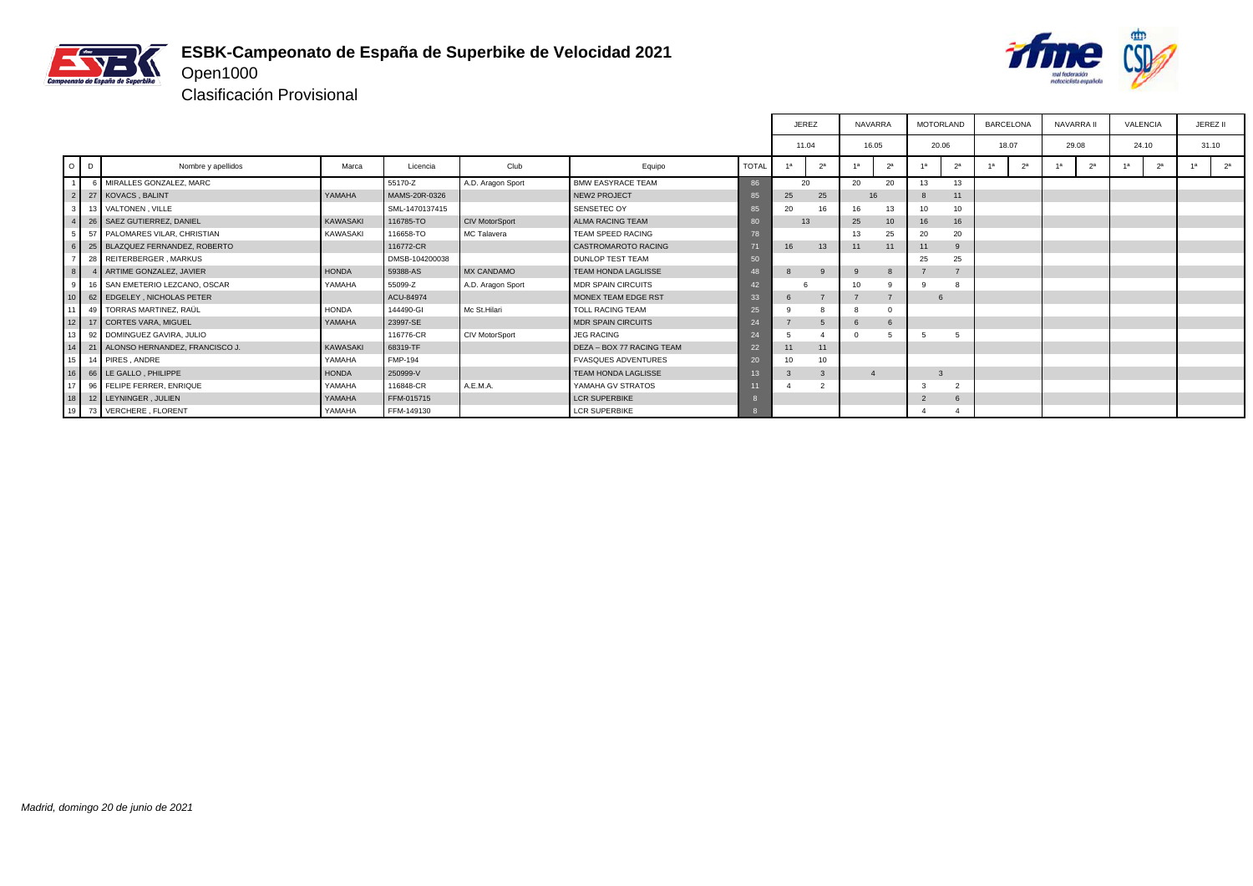

## **ESBK-Campeonato de España de Superbike de Velocidad 2021** Open1000



|                 |          |                                      |                 |                |                       |                            |              |    | <b>JEREZ</b>   | <b>NAVARRA</b>   |                | <b>MOTORLAND</b> |                | <b>BARCELONA</b>     | <b>NAVARRA II</b>    | <b>VALENCIA</b> | JEREZ II             |  |  |  |  |  |  |  |  |  |  |  |  |
|-----------------|----------|--------------------------------------|-----------------|----------------|-----------------------|----------------------------|--------------|----|----------------|------------------|----------------|------------------|----------------|----------------------|----------------------|-----------------|----------------------|--|--|--|--|--|--|--|--|--|--|--|--|
|                 |          |                                      |                 |                |                       |                            |              |    | 11.04          | 16.05            |                | 20.06            |                | 18.07                | 29.08                | 24.10           | 31.10                |  |  |  |  |  |  |  |  |  |  |  |  |
| $\circ$         | <b>D</b> | Nombre y apellidos                   | Marca           | Licencia       | Club                  | Equipo                     | <b>TOTAL</b> | 1a | 2 <sup>a</sup> | -1а              | 2 <sup>a</sup> | 1a               | 2 <sup>a</sup> | 2 <sup>a</sup><br>1a | 2 <sup>a</sup><br>1a | 1a<br>2a        | 4a<br>2 <sup>a</sup> |  |  |  |  |  |  |  |  |  |  |  |  |
| $\overline{1}$  |          | MIRALLES GONZALEZ, MARC              |                 | 55170-Z        | A.D. Aragon Sport     | <b>BMW EASYRACE TEAM</b>   | 86           |    | 20             | 20               | 20             | 13               | 13             |                      |                      |                 |                      |  |  |  |  |  |  |  |  |  |  |  |  |
|                 |          | 2 27 KOVACS, BALINT                  | YAMAHA          | MAMS-20R-0326  |                       | <b>NEW2 PROJECT</b>        | 85           | 25 | 25             | 16               |                |                  | 11             |                      |                      |                 |                      |  |  |  |  |  |  |  |  |  |  |  |  |
| 3 <sup>1</sup>  |          | 13 VALTONEN, VILLE                   |                 | SML-1470137415 |                       | SENSETEC OY                | 85           | 20 | 16             | 16               | 13             | 10               | 10             |                      |                      |                 |                      |  |  |  |  |  |  |  |  |  |  |  |  |
|                 |          | 4 26 SAEZ GUTIERREZ, DANIEL          | <b>KAWASAKI</b> | 116785-TO      | <b>CIV MotorSport</b> | ALMA RACING TEAM           | 80           |    | 13             | 25               | 10             | 16               | 16             |                      |                      |                 |                      |  |  |  |  |  |  |  |  |  |  |  |  |
| 5 <sub>1</sub>  |          | 57 PALOMARES VILAR, CHRISTIAN        | <b>KAWASAKI</b> | 116658-TO      | MC Talavera           | TEAM SPEED RACING          | 78           |    |                | 13               | 25             | 20               | 20             |                      |                      |                 |                      |  |  |  |  |  |  |  |  |  |  |  |  |
|                 |          | 6 25 BLAZQUEZ FERNANDEZ, ROBERTO     |                 | 116772-CR      |                       | <b>CASTROMAROTO RACING</b> |              | 16 | 13             | 11               | 11             | 11               |                |                      |                      |                 |                      |  |  |  |  |  |  |  |  |  |  |  |  |
| $\overline{7}$  |          | 28 REITERBERGER, MARKUS              |                 | DMSB-104200038 |                       | <b>DUNLOP TEST TEAM</b>    | 50           |    |                |                  |                | 25               | 25             |                      |                      |                 |                      |  |  |  |  |  |  |  |  |  |  |  |  |
| 8               |          | 4 ARTIME GONZALEZ, JAVIER            | <b>HONDA</b>    | 59388-AS       | <b>MX CANDAMO</b>     | <b>TEAM HONDA LAGLISSE</b> | 48           | 8  | 9              |                  | 8              |                  |                |                      |                      |                 |                      |  |  |  |  |  |  |  |  |  |  |  |  |
| 9               |          | 16 SAN EMETERIO LEZCANO, OSCAR       | YAMAHA          | 55099-Z        | A.D. Aragon Sport     | <b>MDR SPAIN CIRCUITS</b>  | 42           |    |                | 10               | ۰q             |                  |                |                      |                      |                 |                      |  |  |  |  |  |  |  |  |  |  |  |  |
| 10 <sup>1</sup> |          | 62 EDGELEY, NICHOLAS PETER           |                 | ACU-84974      |                       | MONEX TEAM EDGE RST        | 33           | -6 |                |                  |                | 6                |                |                      |                      |                 |                      |  |  |  |  |  |  |  |  |  |  |  |  |
| 11              |          | 49 TORRAS MARTINEZ, RAÜL             | <b>HONDA</b>    | 144490-GI      | Mc St.Hilari          | <b>TOLL RACING TEAM</b>    | 25           |    | 8              |                  | $^{\circ}$     |                  |                |                      |                      |                 |                      |  |  |  |  |  |  |  |  |  |  |  |  |
|                 |          | 12 17 CORTES VARA, MIGUEL            | YAMAHA          | 23997-SE       |                       | <b>MDR SPAIN CIRCUITS</b>  | 24           |    | 5              |                  | 6              |                  |                |                      |                      |                 |                      |  |  |  |  |  |  |  |  |  |  |  |  |
| 13              |          | 92 DOMINGUEZ GAVIRA, JULIO           |                 | 116776-CR      | <b>CIV MotorSport</b> | <b>JEG RACING</b>          | 24           |    |                |                  |                |                  |                |                      |                      |                 |                      |  |  |  |  |  |  |  |  |  |  |  |  |
|                 |          | 14 21 ALONSO HERNANDEZ, FRANCISCO J. | <b>KAWASAKI</b> | 68319-TF       |                       | DEZA - BOX 77 RACING TEAM  | 22           | 11 | 11             |                  |                |                  |                |                      |                      |                 |                      |  |  |  |  |  |  |  |  |  |  |  |  |
|                 |          | 15 14 PIRES, ANDRE                   | YAMAHA          | <b>FMP-194</b> |                       | <b>FVASQUES ADVENTURES</b> | 20           | 10 | 10             |                  |                |                  |                |                      |                      |                 |                      |  |  |  |  |  |  |  |  |  |  |  |  |
|                 |          | 16 66 LE GALLO, PHILIPPE             | <b>HONDA</b>    | 250999-V       |                       | <b>TEAM HONDA LAGLISSE</b> | 13           | -3 | 3              | $\boldsymbol{4}$ |                | 3                |                |                      |                      |                 |                      |  |  |  |  |  |  |  |  |  |  |  |  |
| 17              |          | 96 FELIPE FERRER, ENRIQUE            | YAMAHA          | 116848-CR      | A.E.M.A.              | YAMAHA GV STRATOS          |              |    | $\overline{2}$ |                  |                |                  |                |                      |                      |                 |                      |  |  |  |  |  |  |  |  |  |  |  |  |
|                 |          | 18 12 LEYNINGER, JULIEN              | YAMAHA          | FFM-015715     |                       | <b>LCR SUPERBIKE</b>       |              |    |                |                  |                | $\overline{2}$   |                |                      |                      |                 |                      |  |  |  |  |  |  |  |  |  |  |  |  |
|                 |          | 19 73 VERCHERE, FLORENT              | YAMAHA          | FFM-149130     |                       | <b>LCR SUPERBIKE</b>       |              |    |                |                  |                |                  |                |                      |                      |                 |                      |  |  |  |  |  |  |  |  |  |  |  |  |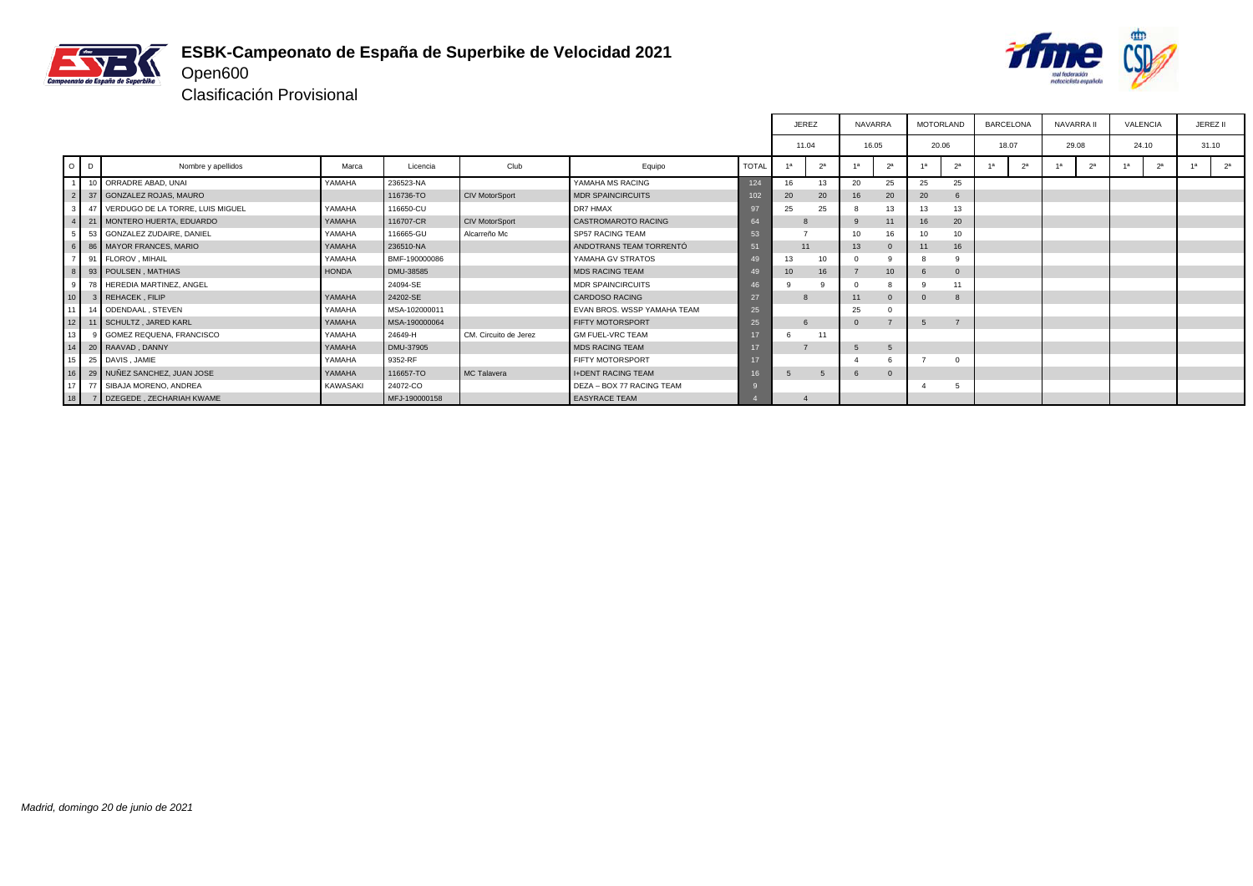

## **ESBK-Campeonato de España de Superbike de Velocidad 2021** Open600



Clasificación Provisional

|                 |         |                                     |              |               |                       |                             |              | <b>JEREZ</b> |                | NAVARRA |                | <b>MOTORLAND</b> |                  |    | <b>BARCELONA</b> | NAVARRA II     |                | <b>VALENCIA</b> |                |    | JEREZ II       |
|-----------------|---------|-------------------------------------|--------------|---------------|-----------------------|-----------------------------|--------------|--------------|----------------|---------|----------------|------------------|------------------|----|------------------|----------------|----------------|-----------------|----------------|----|----------------|
|                 |         |                                     |              |               |                       |                             |              | 11.04        |                | 16.05   |                | 20.06            |                  |    | 18.07            | 29.08          |                | 24.10           |                |    | 31.10          |
|                 | $O$ $D$ | Nombre y apellidos                  | Marca        | Licencia      | Club                  | Equipo                      | <b>TOTAL</b> |              | 2 <sup>a</sup> |         | 2 <sup>a</sup> |                  | 2 <sup>a</sup>   | 1a | 2 <sup>a</sup>   | 1 <sub>a</sub> | 2 <sup>a</sup> |                 | 2 <sup>a</sup> | 1a | 2 <sup>a</sup> |
|                 |         | 10 ORRADRE ABAD, UNAI               | YAMAHA       | 236523-NA     |                       | YAMAHA MS RACING            | 124          | 16           | 13             | 20      | 25             | 25               | 25               |    |                  |                |                |                 |                |    |                |
|                 |         | 37 GONZALEZ ROJAS, MAURO            |              | 116736-TO     | <b>CIV MotorSport</b> | <b>MDR SPAINCIRCUITS</b>    | 102          | 20           | 20             | 16      | 20             | 20               | 6                |    |                  |                |                |                 |                |    |                |
|                 |         | 47 VERDUGO DE LA TORRE. LUIS MIGUEL | YAMAHA       | 116650-CU     |                       | DR7 HMAX                    | 97           | 25           | 25             |         | 13             | 13               | 13               |    |                  |                |                |                 |                |    |                |
|                 |         | 21 MONTERO HUERTA, EDUARDO          | YAMAHA       | 116707-CR     | <b>CIV MotorSport</b> | CASTROMAROTO RACING         | 64           |              |                |         | 11             | 16               | 20               |    |                  |                |                |                 |                |    |                |
|                 |         | 53 GONZALEZ ZUDAIRE, DANIEL         | YAMAHA       | 116665-GU     | Alcarreño Mc          | SP57 RACING TEAM            | 53           |              |                | 10      | 16             | 10               | 10 <sup>10</sup> |    |                  |                |                |                 |                |    |                |
|                 |         | 86   MAYOR FRANCES, MARIO           | YAMAHA       | 236510-NA     |                       | ANDOTRANS TEAM TORRENTÓ     | 51           | 11           |                | 13      | $\Omega$       | 11               | 16               |    |                  |                |                |                 |                |    |                |
|                 |         | 91 FLOROV, MIHAIL                   | YAMAHA       | BMF-190000086 |                       | YAMAHA GV STRATOS           | 49           | 13           | 10             |         |                | 8                |                  |    |                  |                |                |                 |                |    |                |
| 8 <sup>1</sup>  |         | 93 POULSEN, MATHIAS                 | <b>HONDA</b> | DMU-38585     |                       | <b>MDS RACING TEAM</b>      | 49           | 10           | 16             |         | 10             | 6                | 0                |    |                  |                |                |                 |                |    |                |
| $\circ$         |         | 78 HEREDIA MARTINEZ, ANGEL          |              | 24094-SE      |                       | <b>MDR SPAINCIRCUITS</b>    |              |              |                |         |                | 9                |                  |    |                  |                |                |                 |                |    |                |
| 10 <sup>1</sup> |         | 3 REHACEK, FILIP                    | YAMAHA       | 24202-SE      |                       | <b>CARDOSO RACING</b>       | 27           | 8            |                |         | $\Omega$       | $\Omega$         | 8                |    |                  |                |                |                 |                |    |                |
| 11              |         | 14 ODENDAAL, STEVEN                 | YAMAHA       | MSA-102000011 |                       | EVAN BROS, WSSP YAMAHA TEAM | 25           |              |                | 25      | $\Omega$       |                  |                  |    |                  |                |                |                 |                |    |                |
|                 |         | 12   11   SCHULTZ . JARED KARL      | YAMAHA       | MSA-190000064 |                       | <b>FIFTY MOTORSPORT</b>     | 25           |              |                |         |                | 5                |                  |    |                  |                |                |                 |                |    |                |
| 13 <sup>1</sup> |         | 9 GOMEZ REQUENA, FRANCISCO          | YAMAHA       | 24649-H       | CM. Circuito de Jerez | <b>GM FUEL-VRC TEAM</b>     |              |              | 11             |         |                |                  |                  |    |                  |                |                |                 |                |    |                |
| 14              |         | 20 RAAVAD, DANNY                    | YAMAHA       | DMU-37905     |                       | <b>MDS RACING TEAM</b>      | 17           |              |                | 5       | 5              |                  |                  |    |                  |                |                |                 |                |    |                |
| 15 I            |         | 25 DAVIS, JAMIE                     | YAMAHA       | 9352-RF       |                       | <b>FIFTY MOTORSPORT</b>     |              |              |                |         |                |                  |                  |    |                  |                |                |                 |                |    |                |
| 16 <sup>1</sup> |         | 29 NUÑEZ SANCHEZ, JUAN JOSE         | YAMAHA       | 116657-TO     | MC Talavera           | <b>I+DENT RACING TEAM</b>   | 16.          | 5            | $\sqrt{5}$     | 6       | $\Omega$       |                  |                  |    |                  |                |                |                 |                |    |                |
| 17              |         | 77 SIBAJA MORENO, ANDREA            | KAWASAKI     | 24072-CO      |                       | DEZA - BOX 77 RACING TEAM   |              |              |                |         |                | -4               | 5                |    |                  |                |                |                 |                |    |                |
| 18              |         | 7 DZEGEDE, ZECHARIAH KWAME          |              | MFJ-190000158 |                       | <b>EASYRACE TEAM</b>        |              |              |                |         |                |                  |                  |    |                  |                |                |                 |                |    |                |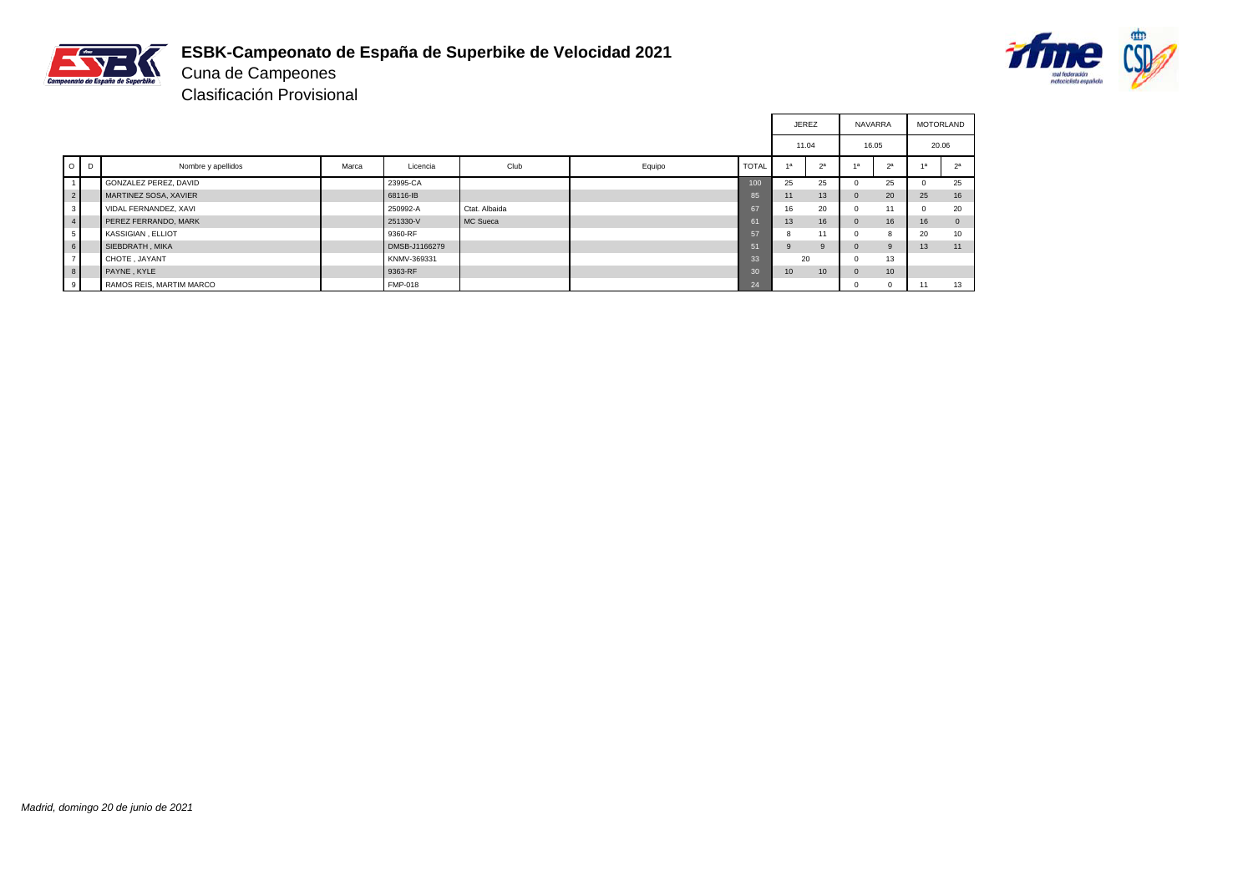

# **ESBK-Campeonato de España de Superbike de Velocidad 2021**



Cuna de Campeones Clasificación Provisional

|                |                          |       |                |               |        |              | <b>JEREZ</b>    |                | <b>NAVARRA</b> |                | <b>MOTORLAND</b> |              |
|----------------|--------------------------|-------|----------------|---------------|--------|--------------|-----------------|----------------|----------------|----------------|------------------|--------------|
|                |                          |       |                |               |        |              | 11.04           |                |                | 16.05          | 20.06            |              |
| $O$ $D$        | Nombre y apellidos       | Marca | Licencia       | Club          | Equipo | <b>TOTAL</b> |                 | 2 <sup>a</sup> | 4a             | 2 <sup>a</sup> | 4a               | 2a           |
|                | GONZALEZ PEREZ, DAVID    |       | 23995-CA       |               |        | 100          | 25              | 25             |                | 25             |                  | 25           |
| 2 <sup>1</sup> | MARTINEZ SOSA, XAVIER    |       | 68116-IB       |               |        | 85           | 11              | 13             | $\Omega$       | 20             | 25               | 16           |
| 3 <sup>1</sup> | VIDAL FERNANDEZ, XAVI    |       | 250992-A       | Ctat. Albaida |        | 67           | 16              | 20             | $\Omega$       | 11             |                  | 20           |
| 4              | PEREZ FERRANDO, MARK     |       | 251330-V       | MC Sueca      |        | 61           | 13              | 16             | $\mathbf{0}$   | 16             | 16               | $\mathbf{0}$ |
| 5 <sub>1</sub> | KASSIGIAN, ELLIOT        |       | 9360-RF        |               |        | 57           | 8               | 11             |                |                | 20               | 10           |
| 6 <sup>1</sup> | SIEBDRATH, MIKA          |       | DMSB-J1166279  |               |        | 51           | $\mathbf{Q}$    | 9              |                | $\mathbf{Q}$   | 13               | 11           |
| $\overline{7}$ | CHOTE, JAYANT            |       | KNMV-369331    |               |        | 33           | 20              |                | n              | 13             |                  |              |
| 8              | PAYNE, KYLE              |       | 9363-RF        |               |        | 30           | 10 <sup>°</sup> | 10             | $\Omega$       | 10             |                  |              |
| 9 <sup>1</sup> | RAMOS REIS, MARTIM MARCO |       | <b>FMP-018</b> |               |        | 24           |                 |                |                | $\Omega$       | 11               | 13           |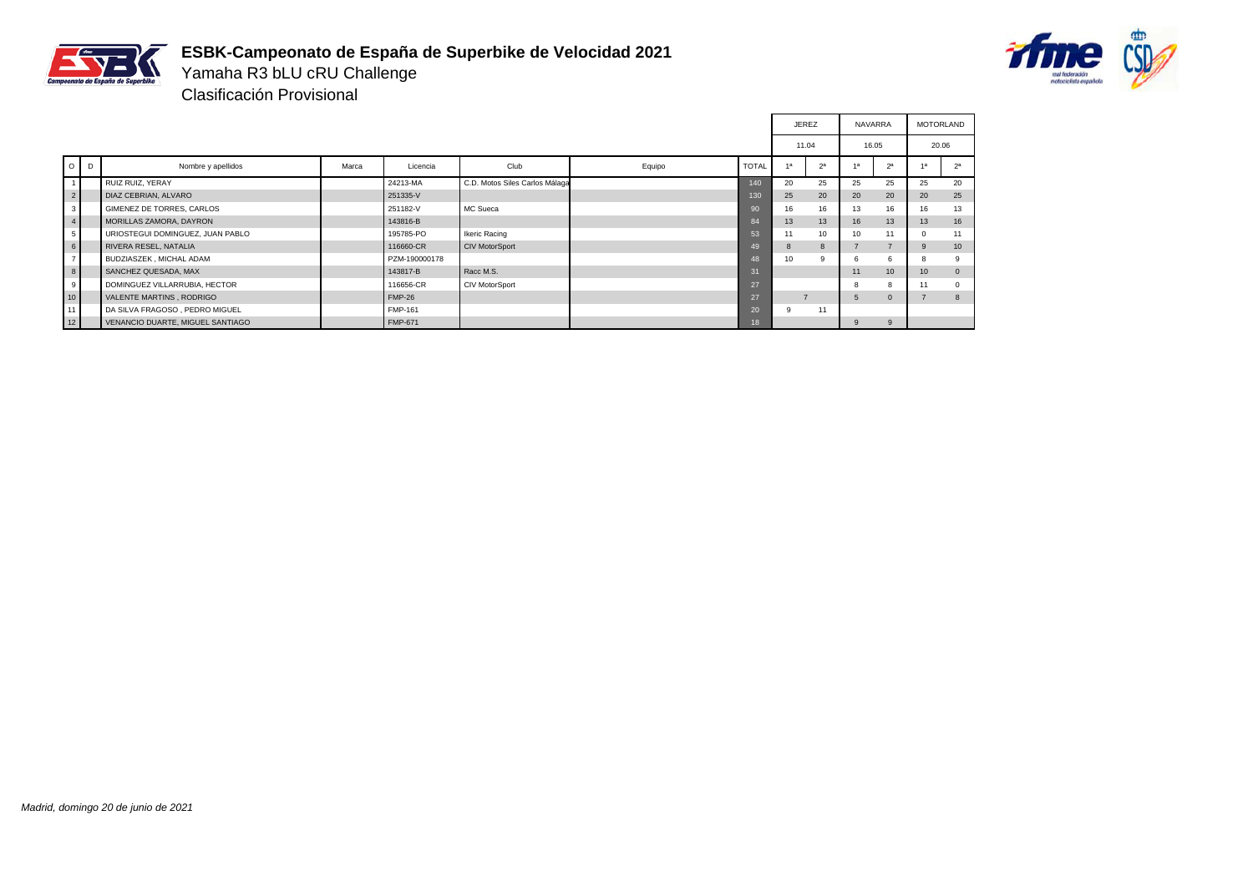

# **ESBK-Campeonato de España de Superbike de Velocidad 2021**



Yamaha R3 bLU cRU Challenge Clasificación Provisional

|                |         |                                  |       |                |                                |        |              | <b>JEREZ</b>   |                | <b>NAVARRA</b>  |                | MOTORLAND        |                |
|----------------|---------|----------------------------------|-------|----------------|--------------------------------|--------|--------------|----------------|----------------|-----------------|----------------|------------------|----------------|
|                |         |                                  |       |                |                                |        |              | 11.04          |                | 16.05           |                | 20.06            |                |
|                | $O$ $D$ | Nombre y apellidos               | Marca | Licencia       | Club                           | Equipo | <b>TOTAL</b> | 1a             | 2 <sup>a</sup> |                 | 2 <sup>a</sup> | 48               | 2 <sup>a</sup> |
| 1              |         | RUIZ RUIZ, YERAY                 |       | 24213-MA       | C.D. Motos Siles Carlos Málaga |        | 140          | 20             | 25             | 25              | 25             | 25               | 20             |
| $2 \mid$       |         | DIAZ CEBRIAN, ALVARO             |       | 251335-V       |                                |        | 130          | 25             | 20             | 20              | 20             | 20               | 25             |
| 3 <sup>1</sup> |         | GIMENEZ DE TORRES, CARLOS        |       | 251182-V       | MC Sueca                       |        | 90           | 16             | 16             | 13              | 16             | 16               | 13             |
| 4              |         | MORILLAS ZAMORA, DAYRON          |       | 143816-B       |                                |        | 84           | 13             | 13             | 16              | 13             | 13               | 16             |
| 5 <sup>1</sup> |         | URIOSTEGUI DOMINGUEZ, JUAN PABLO |       | 195785-PO      | <b>Ikeric Racing</b>           |        | 53           | 11             | 10             | 10 <sup>1</sup> | 11             | $\Omega$         | 11             |
| 6              |         | RIVERA RESEL, NATALIA            |       | 116660-CR      | <b>CIV MotorSport</b>          |        | 49           | $\mathbf{8}$   | 8              |                 | $\rightarrow$  | 9                | 10             |
| 7 <sup>1</sup> |         | BUDZIASZEK, MICHAL ADAM          |       | PZM-190000178  |                                |        | 48           | 10             | $\mathbf{Q}$   |                 | 6              |                  |                |
| 8              |         | SANCHEZ QUESADA, MAX             |       | 143817-B       | Racc M.S.                      |        | 31           |                |                | 11              | 10             | 10 <sup>10</sup> | $\mathbf{0}$   |
| 9              |         | DOMINGUEZ VILLARRUBIA, HECTOR    |       | 116656-CR      | CIV MotorSport                 |        | 27           |                |                |                 | 8              | 11               | $\Omega$       |
| 10             |         | VALENTE MARTINS, RODRIGO         |       | <b>FMP-26</b>  |                                |        | 27           | $\overline{ }$ |                | 5               | $\mathbf{0}$   | $\rightarrow$    | 8              |
| 11             |         | DA SILVA FRAGOSO, PEDRO MIGUEL   |       | FMP-161        |                                |        | 20           | 9              | 11             |                 |                |                  |                |
| 12             |         | VENANCIO DUARTE, MIGUEL SANTIAGO |       | <b>FMP-671</b> |                                |        | 18           |                |                | 9               | 9              |                  |                |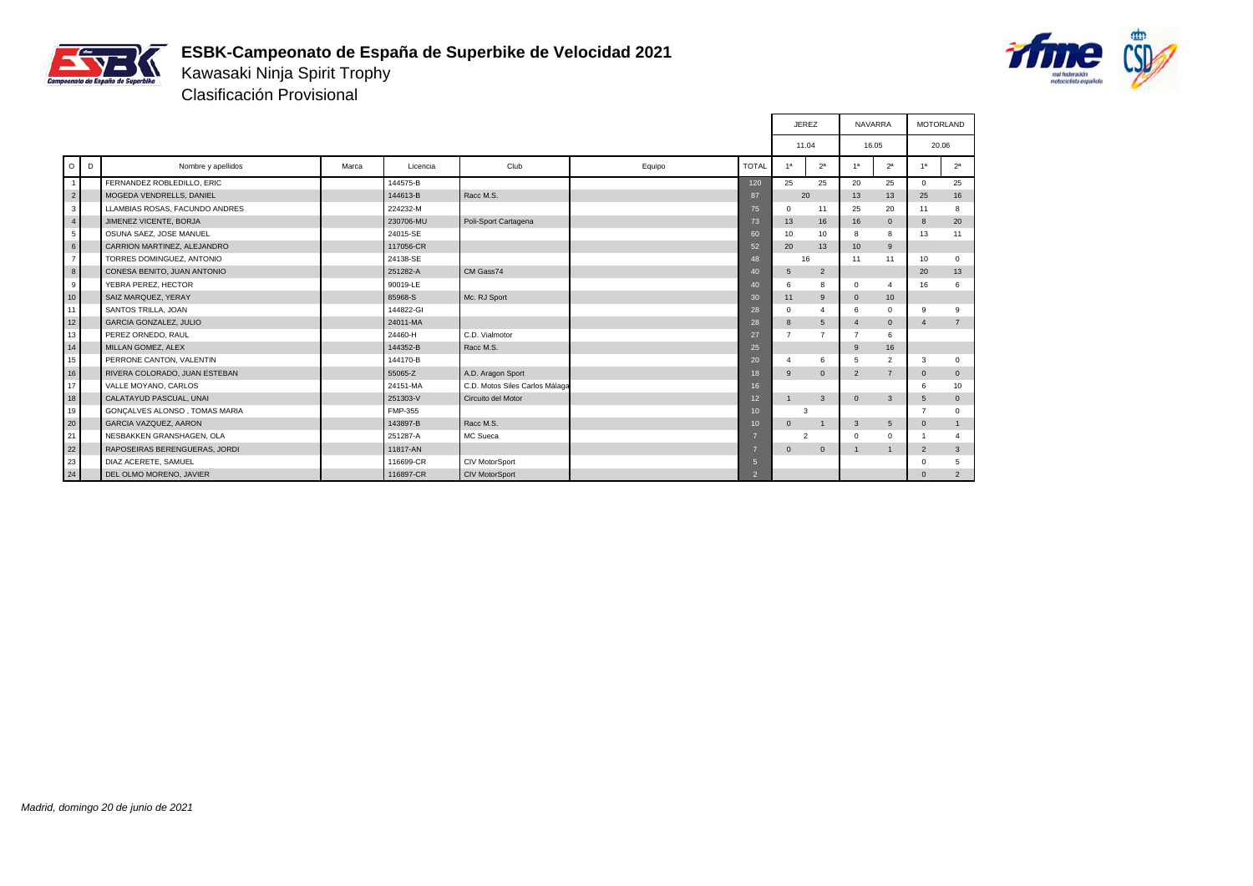

# **ESBK-Campeonato de España de Superbike de Velocidad 2021**



Kawasaki Ninja Spirit Trophy Clasificación Provisional

|                |        |                                |       |           |                                |        |                  |                | <b>JEREZ</b>   | NAVARRA               |                |                | <b>MOTORLAND</b> |
|----------------|--------|--------------------------------|-------|-----------|--------------------------------|--------|------------------|----------------|----------------|-----------------------|----------------|----------------|------------------|
|                |        |                                |       |           |                                |        |                  | 11.04          |                |                       | 16.05          |                | 20.06            |
|                | $O1$ D | Nombre y apellidos             | Marca | Licencia  | Club                           | Equipo | <b>TOTAL</b>     | 1 <sup>a</sup> | 2 <sup>a</sup> | 1a                    | 2 <sup>a</sup> | 1 <sup>a</sup> | 2 <sup>a</sup>   |
| $\overline{1}$ |        | FERNANDEZ ROBLEDILLO, ERIC     |       | 144575-B  |                                |        | 120              | 25             | 25             | 20                    | 25             | $\Omega$       | 25               |
| $\overline{2}$ |        | MOGEDA VENDRELLS, DANIEL       |       | 144613-B  | Racc M.S.                      |        | 87               | 20             |                | 13                    | 13             | 25             | 16               |
| 3              |        | LLAMBIAS ROSAS, FACUNDO ANDRES |       | 224232-M  |                                |        | 75               | $\mathbf 0$    | 11             | 25                    | 20             | 11             | 8                |
| $\overline{4}$ |        | JIMENEZ VICENTE, BORJA         |       | 230706-MU | Poli-Sport Cartagena           |        | 73               | 13             | 16             | 16                    | $\mathbf{0}$   | 8              | 20               |
| 5              |        | OSUNA SAEZ, JOSE MANUEL        |       | 24015-SE  |                                |        | 60               | 10             | 10             | 8                     | 8              | 13             | 11               |
| $6\phantom{.}$ |        | CARRION MARTINEZ, ALEJANDRO    |       | 117056-CR |                                |        | 52               | 20             | 13             | 10                    | 9              |                |                  |
| $\overline{7}$ |        | TORRES DOMINGUEZ, ANTONIO      |       | 24138-SE  |                                |        | 48               |                | 16             | 11                    | 11             | 10             | $\mathbf 0$      |
| $\bf8$         |        | CONESA BENITO, JUAN ANTONIO    |       | 251282-A  | CM Gass74                      |        | 40               | 5              | $\overline{2}$ |                       |                | 20             | 13               |
| 9              |        | YEBRA PEREZ, HECTOR            |       | 90019-LE  |                                |        | 40               | 6              | 8              | $\Omega$              | $\overline{4}$ | 16             | 6                |
| 10             |        | SAIZ MARQUEZ, YERAY            |       | 85968-S   | Mc. RJ Sport                   |        | 30               | 11             | 9              | $\mathbf{0}$          | 10             |                |                  |
| 11             |        | SANTOS TRILLA, JOAN            |       | 144822-GI |                                |        | 28               | $\Omega$       | $\Delta$       | 6                     | $\Omega$       | 9              | 9                |
| 12             |        | <b>GARCIA GONZALEZ, JULIO</b>  |       | 24011-MA  |                                |        | 28               | 8              | 5              | $\boldsymbol{\Delta}$ | $\mathbf{0}$   | $\overline{4}$ | $7^{\circ}$      |
| 13             |        | PEREZ ORNEDO, RAUL             |       | 24460-H   | C.D. Vialmotor                 |        | 27               | $\overline{7}$ | $\overline{7}$ | $\overline{7}$        | 6              |                |                  |
| 14             |        | MILLAN GOMEZ, ALEX             |       | 144352-B  | Racc M.S.                      |        | 25               |                |                | 9                     | 16             |                |                  |
| 15             |        | PERRONE CANTON, VALENTIN       |       | 144170-B  |                                |        | 20               | $\overline{4}$ | 6              | 5                     | $\overline{2}$ | 3              | $\mathbf 0$      |
| 16             |        | RIVERA COLORADO, JUAN ESTEBAN  |       | 55065-Z   | A.D. Aragon Sport              |        | 18               | 9              | $\mathbf{0}$   | $\overline{2}$        | $\overline{7}$ | $\mathbf{0}$   | $\mathbf 0$      |
| 17             |        | VALLE MOYANO, CARLOS           |       | 24151-MA  | C.D. Motos Siles Carlos Málaga |        | 16 <sup>°</sup>  |                |                |                       |                | 6              | 10               |
| 18             |        | CALATAYUD PASCUAL, UNAI        |       | 251303-V  | Circuito del Motor             |        | 12 <sup>2</sup>  |                | 3              | $\Omega$              | $\mathbf{3}$   | 5              | $\mathbf{0}$     |
| 19             |        | GONCALVES ALONSO, TOMAS MARIA  |       | FMP-355   |                                |        | 10 <sup>°</sup>  |                | 3              |                       |                | $\overline{7}$ | $\mathbf 0$      |
| 20             |        | <b>GARCIA VAZQUEZ, AARON</b>   |       | 143897-B  | Racc M.S.                      |        | 10 <sup>10</sup> | $\mathbf{0}$   | $\overline{1}$ | 3                     | 5              | $\mathbf{0}$   | $\mathbf{1}$     |
| 21             |        | NESBAKKEN GRANSHAGEN, OLA      |       | 251287-A  | MC Sueca                       |        |                  | $\overline{2}$ |                | $\mathbf 0$           | $\mathbf{0}$   |                | $\overline{4}$   |
| 22             |        | RAPOSEIRAS BERENGUERAS, JORDI  |       | 11817-AN  |                                |        |                  | $\mathbf{0}$   | $\mathbf{0}$   |                       | $\mathbf{1}$   | $\overline{2}$ | $\mathbf{3}$     |
| 23             |        | DIAZ ACERETE, SAMUEL           |       | 116699-CR | <b>CIV MotorSport</b>          |        | 5                |                |                |                       |                | $\mathbf 0$    | 5                |
| 24             |        | DEL OLMO MORENO, JAVIER        |       | 116897-CR | <b>CIV MotorSport</b>          |        | $\overline{2}$   |                |                |                       |                | $\mathbf{0}$   | $\overline{2}$   |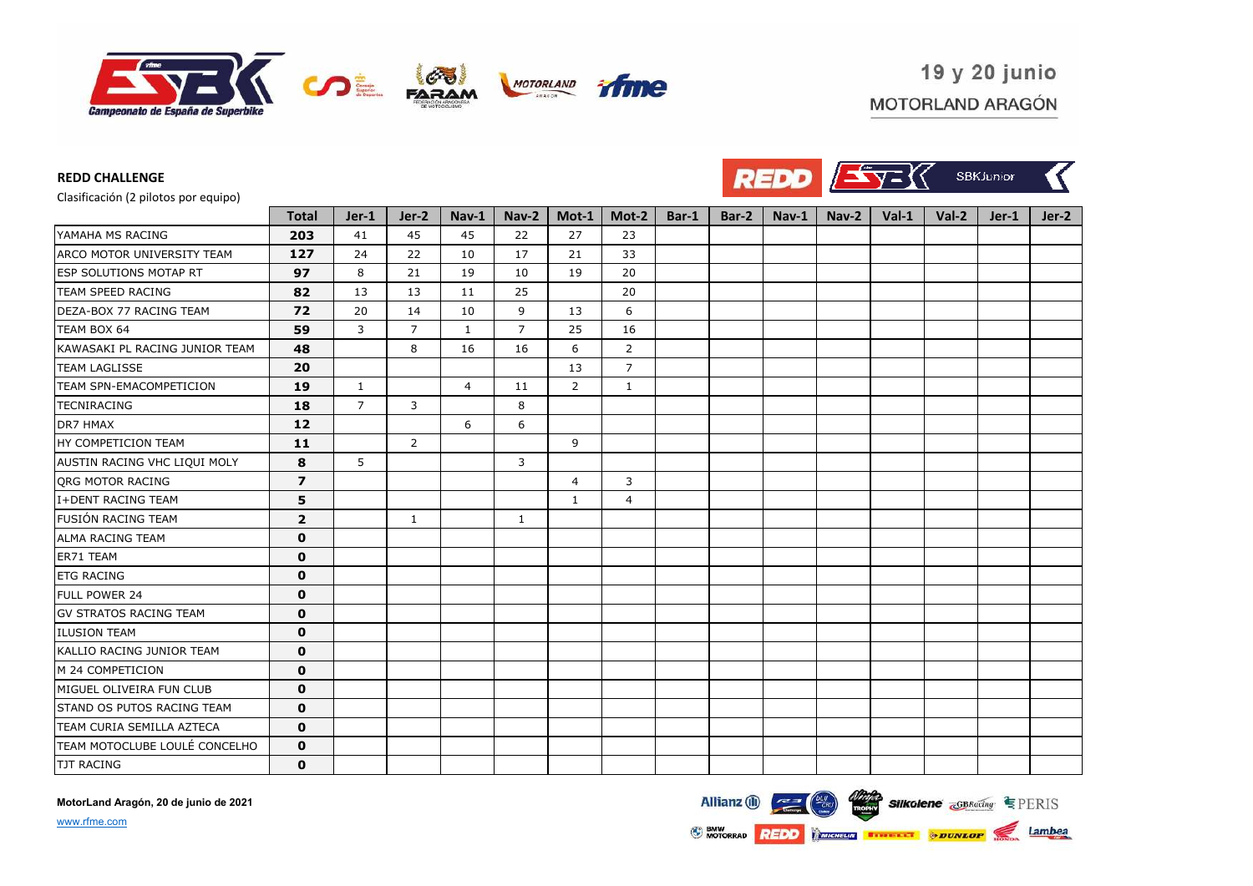



Clasificación (2 pilotos por equipo)

**REDD CHALLENGE**

| <u>elementen (= hunter har admha)</u> | <b>Total</b>   | Jer-1          | Jer-2          | Nav-1          | Nav-2          | Mot-1          | Mot-2          | Bar-1 | Bar-2 | $Nav-1$ | Nav-2 | $Val-1$ | $Val-2$ | Jer-1 | $Jer-2$ |
|---------------------------------------|----------------|----------------|----------------|----------------|----------------|----------------|----------------|-------|-------|---------|-------|---------|---------|-------|---------|
| YAMAHA MS RACING                      | 203            | 41             | 45             | 45             | 22             | 27             | 23             |       |       |         |       |         |         |       |         |
| ARCO MOTOR UNIVERSITY TEAM            | 127            | 24             | 22             | 10             | 17             | 21             | 33             |       |       |         |       |         |         |       |         |
| <b>ESP SOLUTIONS MOTAP RT</b>         | 97             | 8              | 21             | 19             | 10             | 19             | 20             |       |       |         |       |         |         |       |         |
| <b>TEAM SPEED RACING</b>              | 82             | 13             | 13             | 11             | 25             |                | 20             |       |       |         |       |         |         |       |         |
| DEZA-BOX 77 RACING TEAM               | 72             | 20             | 14             | 10             | 9              | 13             | 6              |       |       |         |       |         |         |       |         |
| TEAM BOX 64                           | 59             | 3              | $\overline{7}$ | $\mathbf{1}$   | $\overline{7}$ | 25             | 16             |       |       |         |       |         |         |       |         |
| KAWASAKI PL RACING JUNIOR TEAM        | 48             |                | 8              | 16             | 16             | 6              | 2              |       |       |         |       |         |         |       |         |
| <b>TEAM LAGLISSE</b>                  | 20             |                |                |                |                | 13             | $\overline{7}$ |       |       |         |       |         |         |       |         |
| TEAM SPN-EMACOMPETICION               | 19             | $\mathbf{1}$   |                | $\overline{4}$ | 11             | 2              | $\mathbf{1}$   |       |       |         |       |         |         |       |         |
| <b>TECNIRACING</b>                    | 18             | $\overline{7}$ | 3              |                | 8              |                |                |       |       |         |       |         |         |       |         |
| DR7 HMAX                              | 12             |                |                | 6              | 6              |                |                |       |       |         |       |         |         |       |         |
| HY COMPETICION TEAM                   | 11             |                | $\overline{2}$ |                |                | 9              |                |       |       |         |       |         |         |       |         |
| AUSTIN RACING VHC LIQUI MOLY          | 8              | 5              |                |                | 3              |                |                |       |       |         |       |         |         |       |         |
| ORG MOTOR RACING                      | 7              |                |                |                |                | $\overline{4}$ | 3              |       |       |         |       |         |         |       |         |
| I+DENT RACING TEAM                    | 5              |                |                |                |                | $\mathbf{1}$   | $\overline{4}$ |       |       |         |       |         |         |       |         |
| <b>FUSIÓN RACING TEAM</b>             | $\overline{2}$ |                | 1              |                | $\mathbf{1}$   |                |                |       |       |         |       |         |         |       |         |
| <b>ALMA RACING TEAM</b>               | $\mathbf 0$    |                |                |                |                |                |                |       |       |         |       |         |         |       |         |
| ER71 TEAM                             | $\mathbf 0$    |                |                |                |                |                |                |       |       |         |       |         |         |       |         |
| <b>ETG RACING</b>                     | $\mathbf 0$    |                |                |                |                |                |                |       |       |         |       |         |         |       |         |
| <b>FULL POWER 24</b>                  | $\mathbf 0$    |                |                |                |                |                |                |       |       |         |       |         |         |       |         |
| <b>GV STRATOS RACING TEAM</b>         | $\mathbf 0$    |                |                |                |                |                |                |       |       |         |       |         |         |       |         |
| <b>ILUSION TEAM</b>                   | $\mathbf 0$    |                |                |                |                |                |                |       |       |         |       |         |         |       |         |
| KALLIO RACING JUNIOR TEAM             | $\mathbf 0$    |                |                |                |                |                |                |       |       |         |       |         |         |       |         |
| M 24 COMPETICION                      | $\mathbf 0$    |                |                |                |                |                |                |       |       |         |       |         |         |       |         |
| MIGUEL OLIVEIRA FUN CLUB              | $\mathbf 0$    |                |                |                |                |                |                |       |       |         |       |         |         |       |         |
| STAND OS PUTOS RACING TEAM            | $\mathbf 0$    |                |                |                |                |                |                |       |       |         |       |         |         |       |         |
| TEAM CURIA SEMILLA AZTECA             | $\mathbf 0$    |                |                |                |                |                |                |       |       |         |       |         |         |       |         |
| TEAM MOTOCLUBE LOULÉ CONCELHO         | $\mathbf 0$    |                |                |                |                |                |                |       |       |         |       |         |         |       |         |
| <b>TJT RACING</b>                     | $\mathbf 0$    |                |                |                |                |                |                |       |       |         |       |         |         |       |         |

**MotorLand Aragón, 20 de junio de 2021**



www.rfme.com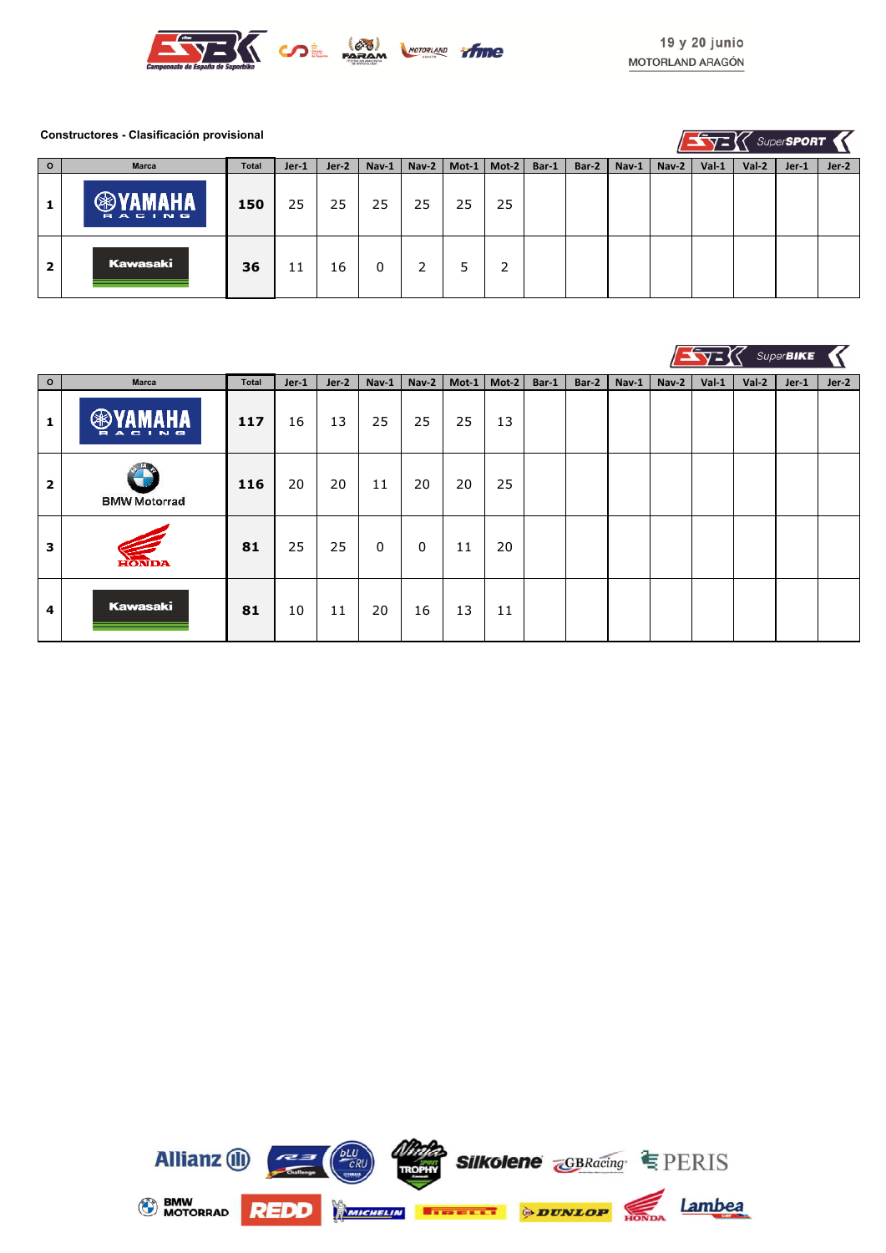

#### **Constructores - Clasificación provisional**

 $\sqrt{2} \sqrt{2}$  Super**SPORT** 

| $\overline{\mathbf{0}}$ | <b>Marca</b>  | Total | $Jer-1$ | $Jer-2$ | $Nav-1$ | Nav-2 | Mot-1 | $Mod-2$ | Bar-1 | Bar-2 | Nav-1 | $\sqrt{Nav-2}$ | $Val-1$ | Val-2 | Jer-1 | Jer-2 |
|-------------------------|---------------|-------|---------|---------|---------|-------|-------|---------|-------|-------|-------|----------------|---------|-------|-------|-------|
|                         | <b>RACING</b> | 150   | 25      | 25      | 25      | 25    | 25    | 25      |       |       |       |                |         |       |       |       |
| 2                       | Kawasaki      | 36    | 11      | 16      |         |       |       | 2       |       |       |       |                |         |       |       |       |

|                |                                            |       |       |         |       |       |       |       |       |       |       |       |         |         | SuperBIKE |         |
|----------------|--------------------------------------------|-------|-------|---------|-------|-------|-------|-------|-------|-------|-------|-------|---------|---------|-----------|---------|
| $\circ$        | Marca                                      | Total | Jer-1 | $Jer-2$ | Nav-1 | Nav-2 | Mot-1 | Mot-2 | Bar-1 | Bar-2 | Nav-1 | Nav-2 | $Val-1$ | $Val-2$ | Jer-1     | $Jer-2$ |
| 1              | AHA<br>ᅊ<br><b>ACING</b><br>$\blacksquare$ | 117   | 16    | 13      | 25    | 25    | 25    | 13    |       |       |       |       |         |         |           |         |
| $\overline{2}$ | <b>BMW Motorrad</b>                        | 116   | 20    | 20      | 11    | 20    | 20    | 25    |       |       |       |       |         |         |           |         |
| 3              | <b>HONDA</b>                               | 81    | 25    | 25      | 0     | 0     | 11    | 20    |       |       |       |       |         |         |           |         |
| 4              | Kawasaki                                   | 81    | 10    | 11      | 20    | 16    | 13    | 11    |       |       |       |       |         |         |           |         |